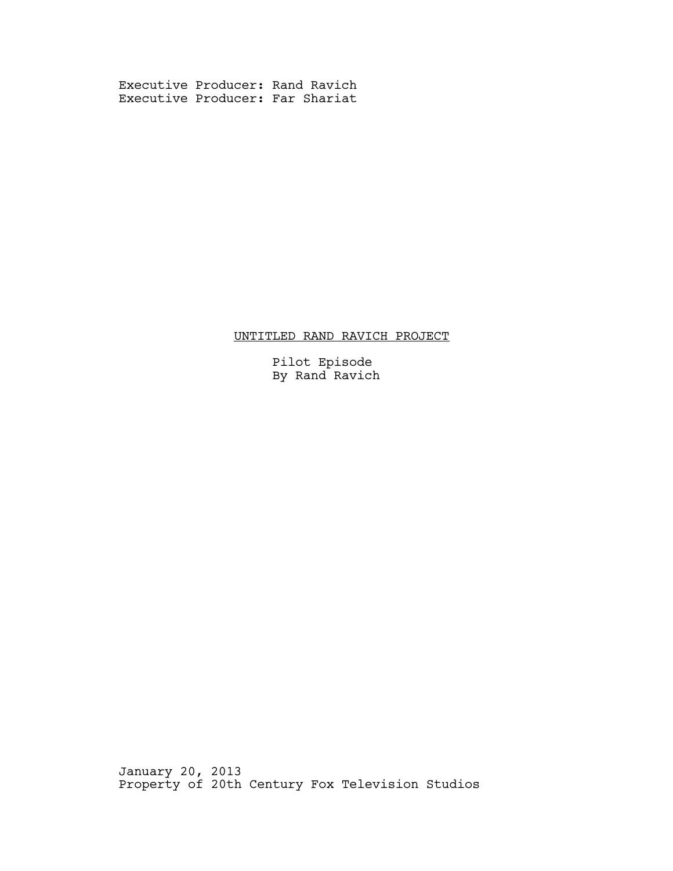Executive Producer: Rand Ravich Executive Producer: Far Shariat

# UNTITLED RAND RAVICH PROJECT

 Pilot Episode By Rand Ravich

January 20, 2013 Property of 20th Century Fox Television Studios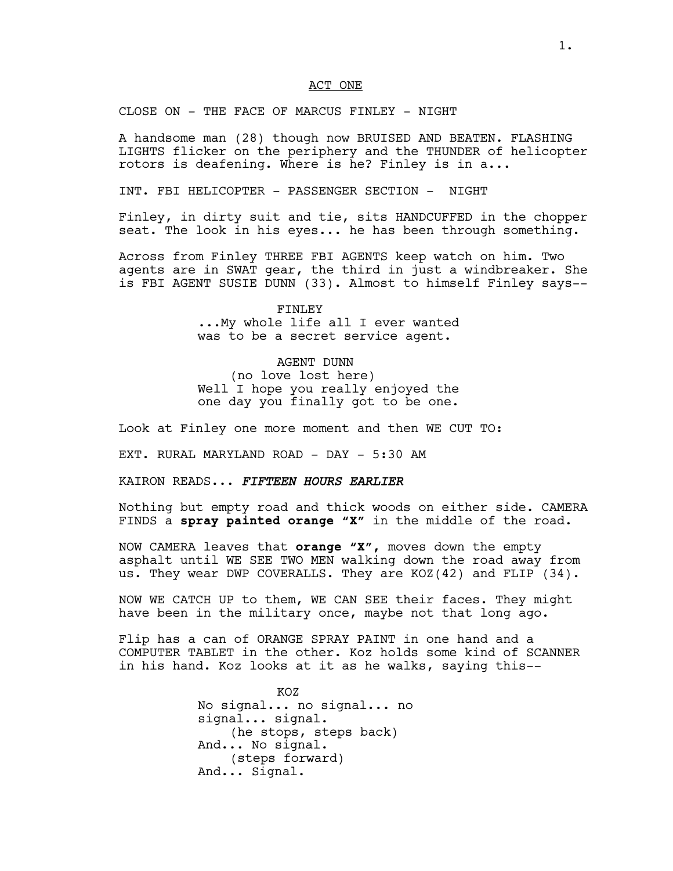### ACT ONE

CLOSE ON - THE FACE OF MARCUS FINLEY - NIGHT

A handsome man (28) though now BRUISED AND BEATEN. FLASHING LIGHTS flicker on the periphery and the THUNDER of helicopter rotors is deafening. Where is he? Finley is in a...

INT. FBI HELICOPTER - PASSENGER SECTION - NIGHT

Finley, in dirty suit and tie, sits HANDCUFFED in the chopper seat. The look in his eyes... he has been through something.

Across from Finley THREE FBI AGENTS keep watch on him. Two agents are in SWAT gear, the third in just a windbreaker. She is FBI AGENT SUSIE DUNN (33). Almost to himself Finley says--

> FINLEY ...My whole life all I ever wanted was to be a secret service agent.

# AGENT DUNN

(no love lost here) Well I hope you really enjoyed the one day you finally got to be one.

Look at Finley one more moment and then WE CUT TO:

EXT. RURAL MARYLAND ROAD - DAY - 5:30 AM

KAIRON READS... *FIFTEEN HOURS EARLIER*

Nothing but empty road and thick woods on either side. CAMERA FINDS a **spray painted orange "X"** in the middle of the road.

NOW CAMERA leaves that **orange "X",** moves down the empty asphalt until WE SEE TWO MEN walking down the road away from us. They wear DWP COVERALLS. They are KOZ(42) and FLIP (34).

NOW WE CATCH UP to them, WE CAN SEE their faces. They might have been in the military once, maybe not that long ago.

Flip has a can of ORANGE SPRAY PAINT in one hand and a COMPUTER TABLET in the other. Koz holds some kind of SCANNER in his hand. Koz looks at it as he walks, saying this--

> KOZ No signal... no signal... no signal... signal. (he stops, steps back) And... No signal. (steps forward) And... Signal.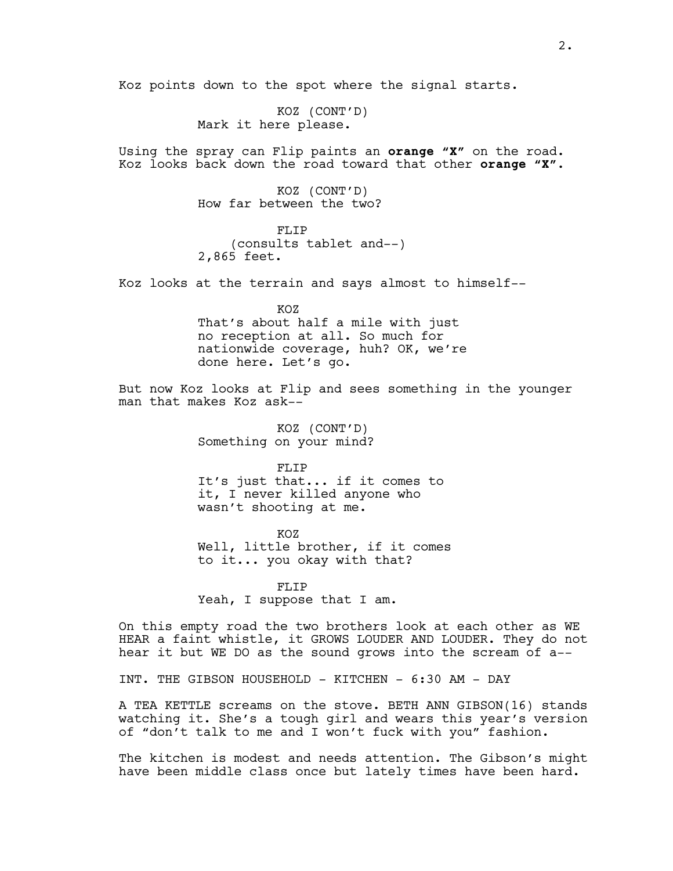Koz points down to the spot where the signal starts.

KOZ (CONT'D) Mark it here please.

Using the spray can Flip paints an **orange "X"** on the road. Koz looks back down the road toward that other **orange "X".**

> KOZ (CONT'D) How far between the two?

FLTP (consults tablet and--) 2,865 feet.

Koz looks at the terrain and says almost to himself--

KOZ That's about half a mile with just no reception at all. So much for nationwide coverage, huh? OK, we're done here. Let's go.

But now Koz looks at Flip and sees something in the younger man that makes Koz ask--

> KOZ (CONT'D) Something on your mind?

FLIP It's just that... if it comes to it, I never killed anyone who wasn't shooting at me.

KOZ Well, little brother, if it comes to it... you okay with that?

FLIP Yeah, I suppose that I am.

On this empty road the two brothers look at each other as WE HEAR a faint whistle, it GROWS LOUDER AND LOUDER. They do not hear it but WE DO as the sound grows into the scream of a--

INT. THE GIBSON HOUSEHOLD - KITCHEN - 6:30 AM - DAY

A TEA KETTLE screams on the stove. BETH ANN GIBSON(16) stands watching it. She's a tough girl and wears this year's version of "don't talk to me and I won't fuck with you" fashion.

The kitchen is modest and needs attention. The Gibson's might have been middle class once but lately times have been hard.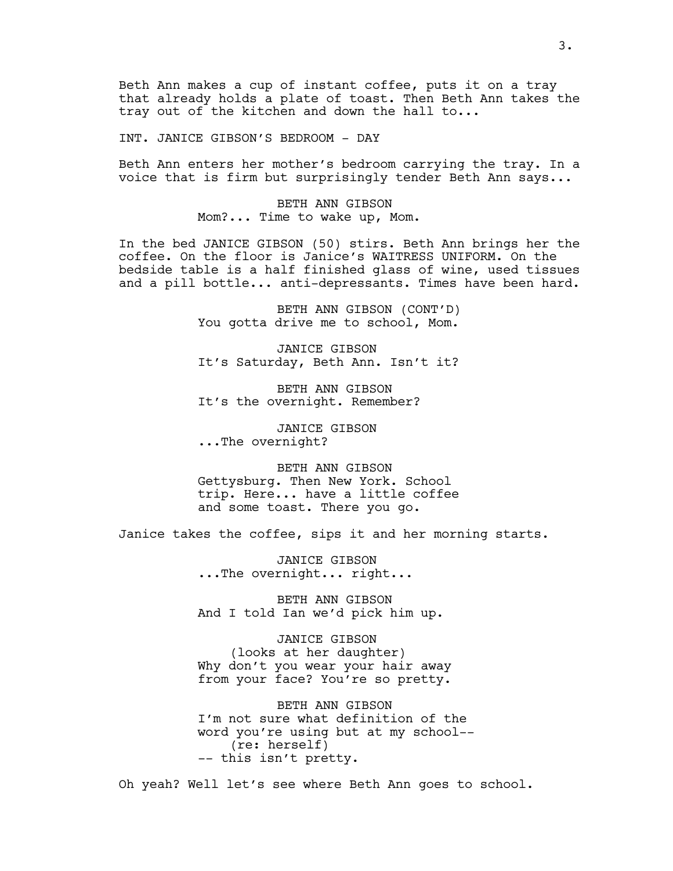Beth Ann makes a cup of instant coffee, puts it on a tray that already holds a plate of toast. Then Beth Ann takes the tray out of the kitchen and down the hall to...

INT. JANICE GIBSON'S BEDROOM - DAY

Beth Ann enters her mother's bedroom carrying the tray. In a voice that is firm but surprisingly tender Beth Ann says...

> BETH ANN GIBSON Mom?... Time to wake up, Mom.

In the bed JANICE GIBSON (50) stirs. Beth Ann brings her the coffee. On the floor is Janice's WAITRESS UNIFORM. On the bedside table is a half finished glass of wine, used tissues and a pill bottle... anti-depressants. Times have been hard.

> BETH ANN GIBSON (CONT'D) You gotta drive me to school, Mom.

> JANICE GIBSON It's Saturday, Beth Ann. Isn't it?

BETH ANN GIBSON It's the overnight. Remember?

JANICE GIBSON ...The overnight?

BETH ANN GIBSON Gettysburg. Then New York. School trip. Here... have a little coffee and some toast. There you go.

Janice takes the coffee, sips it and her morning starts.

JANICE GIBSON ...The overnight... right...

BETH ANN GIBSON And I told Ian we'd pick him up.

JANICE GIBSON (looks at her daughter) Why don't you wear your hair away from your face? You're so pretty.

BETH ANN GIBSON I'm not sure what definition of the word you're using but at my school-- (re: herself) -- this isn't pretty.

Oh yeah? Well let's see where Beth Ann goes to school.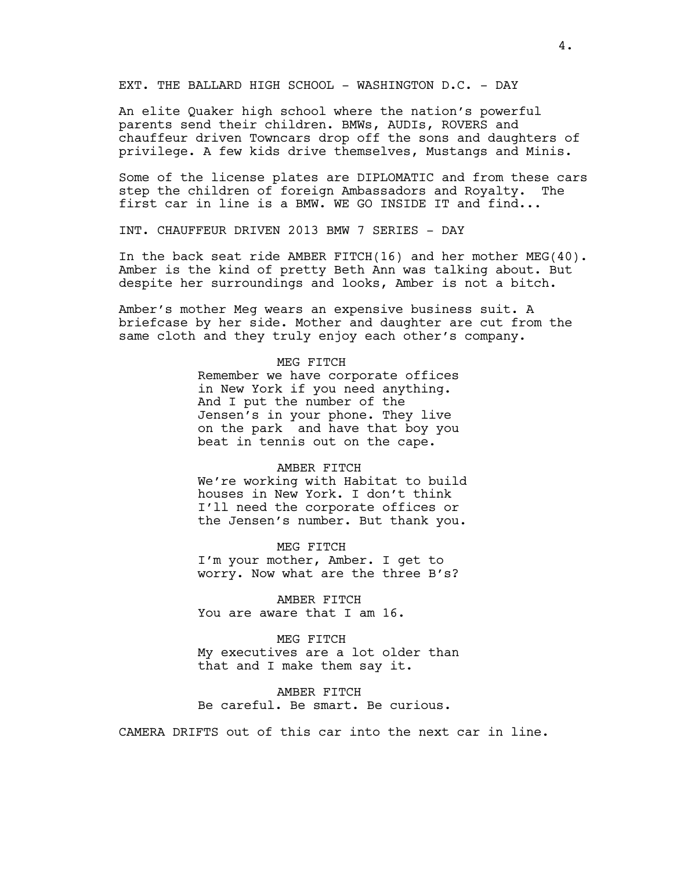EXT. THE BALLARD HIGH SCHOOL - WASHINGTON D.C. - DAY

An elite Quaker high school where the nation's powerful parents send their children. BMWs, AUDIs, ROVERS and chauffeur driven Towncars drop off the sons and daughters of privilege. A few kids drive themselves, Mustangs and Minis.

Some of the license plates are DIPLOMATIC and from these cars step the children of foreign Ambassadors and Royalty. The first car in line is a BMW. WE GO INSIDE IT and find...

INT. CHAUFFEUR DRIVEN 2013 BMW 7 SERIES - DAY

In the back seat ride AMBER FITCH(16) and her mother MEG(40). Amber is the kind of pretty Beth Ann was talking about. But despite her surroundings and looks, Amber is not a bitch.

Amber's mother Meg wears an expensive business suit. A briefcase by her side. Mother and daughter are cut from the same cloth and they truly enjoy each other's company.

### MEG FITCH

Remember we have corporate offices in New York if you need anything. And I put the number of the Jensen's in your phone. They live on the park and have that boy you beat in tennis out on the cape.

#### AMBER FITCH

We're working with Habitat to build houses in New York. I don't think I'll need the corporate offices or the Jensen's number. But thank you.

#### MEG FITCH

I'm your mother, Amber. I get to worry. Now what are the three B's?

AMBER FITCH You are aware that I am 16.

MEG FITCH My executives are a lot older than that and I make them say it.

AMBER FITCH Be careful. Be smart. Be curious.

CAMERA DRIFTS out of this car into the next car in line.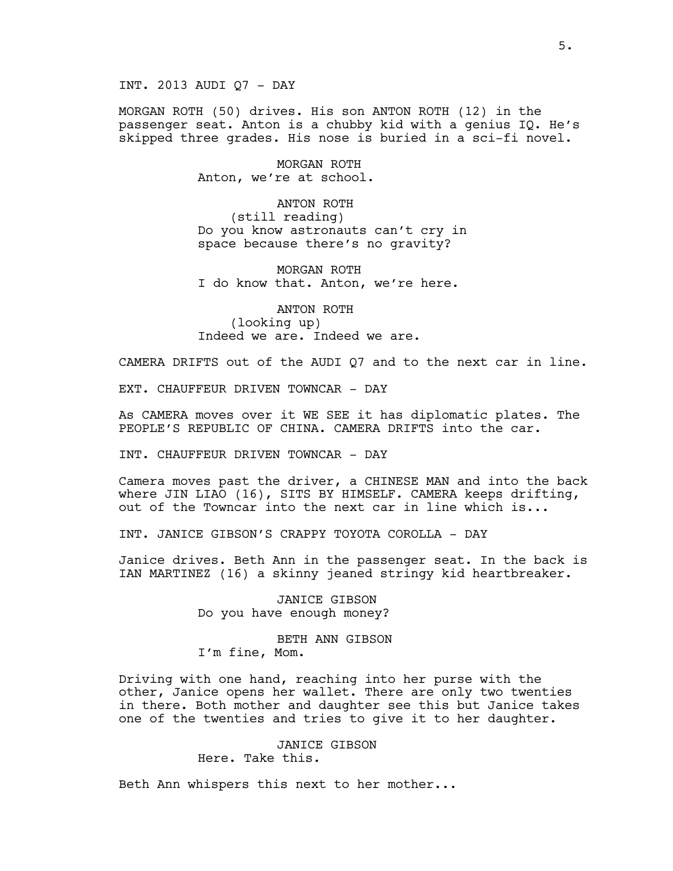INT. 2013 AUDI Q7 - DAY

MORGAN ROTH (50) drives. His son ANTON ROTH (12) in the passenger seat. Anton is a chubby kid with a genius IQ. He's skipped three grades. His nose is buried in a sci-fi novel.

> MORGAN ROTH Anton, we're at school.

ANTON ROTH (still reading) Do you know astronauts can't cry in space because there's no gravity?

MORGAN ROTH I do know that. Anton, we're here.

ANTON ROTH (looking up) Indeed we are. Indeed we are.

CAMERA DRIFTS out of the AUDI Q7 and to the next car in line.

EXT. CHAUFFEUR DRIVEN TOWNCAR - DAY

As CAMERA moves over it WE SEE it has diplomatic plates. The PEOPLE'S REPUBLIC OF CHINA. CAMERA DRIFTS into the car.

INT. CHAUFFEUR DRIVEN TOWNCAR - DAY

Camera moves past the driver, a CHINESE MAN and into the back where JIN LIAO (16), SITS BY HIMSELF. CAMERA keeps drifting, out of the Towncar into the next car in line which is...

INT. JANICE GIBSON'S CRAPPY TOYOTA COROLLA - DAY

Janice drives. Beth Ann in the passenger seat. In the back is IAN MARTINEZ (16) a skinny jeaned stringy kid heartbreaker.

> JANICE GIBSON Do you have enough money?

BETH ANN GIBSON I'm fine, Mom.

Driving with one hand, reaching into her purse with the other, Janice opens her wallet. There are only two twenties in there. Both mother and daughter see this but Janice takes one of the twenties and tries to give it to her daughter.

> JANICE GIBSON Here. Take this.

Beth Ann whispers this next to her mother...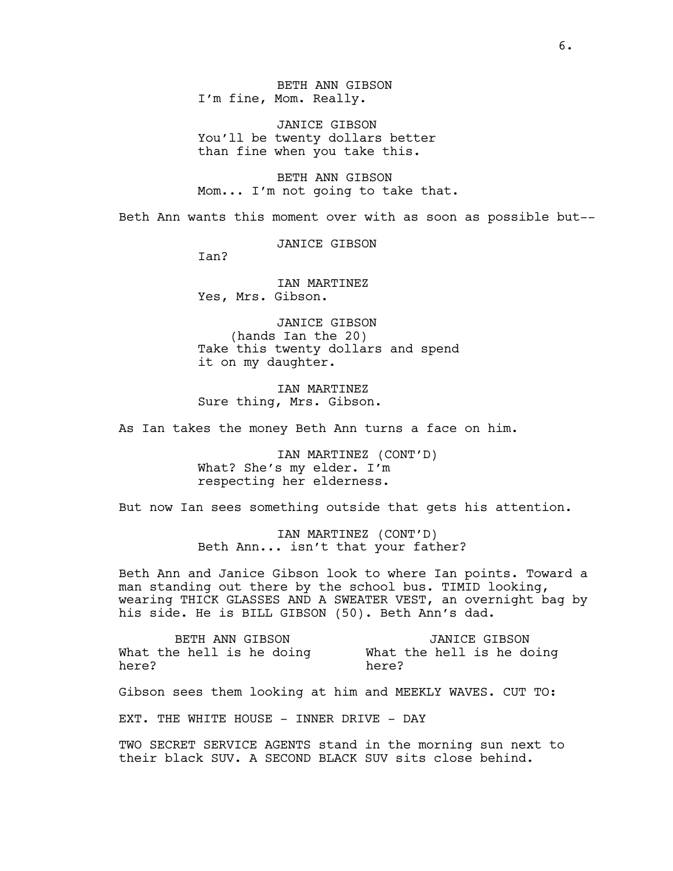BETH ANN GIBSON I'm fine, Mom. Really.

JANICE GIBSON You'll be twenty dollars better than fine when you take this.

BETH ANN GIBSON Mom... I'm not going to take that.

Beth Ann wants this moment over with as soon as possible but--

JANICE GIBSON

Ian?

IAN MARTINEZ Yes, Mrs. Gibson.

JANICE GIBSON (hands Ian the 20) Take this twenty dollars and spend it on my daughter.

IAN MARTINEZ Sure thing, Mrs. Gibson.

As Ian takes the money Beth Ann turns a face on him.

IAN MARTINEZ (CONT'D) What? She's my elder. I'm respecting her elderness.

But now Ian sees something outside that gets his attention.

IAN MARTINEZ (CONT'D) Beth Ann... isn't that your father?

Beth Ann and Janice Gibson look to where Ian points. Toward a man standing out there by the school bus. TIMID looking, wearing THICK GLASSES AND A SWEATER VEST, an overnight bag by his side. He is BILL GIBSON (50). Beth Ann's dad.

BETH ANN GIBSON What the hell is he doing here? JANICE GIBSON What the hell is he doing here?

Gibson sees them looking at him and MEEKLY WAVES. CUT TO:

EXT. THE WHITE HOUSE - INNER DRIVE - DAY

TWO SECRET SERVICE AGENTS stand in the morning sun next to their black SUV. A SECOND BLACK SUV sits close behind.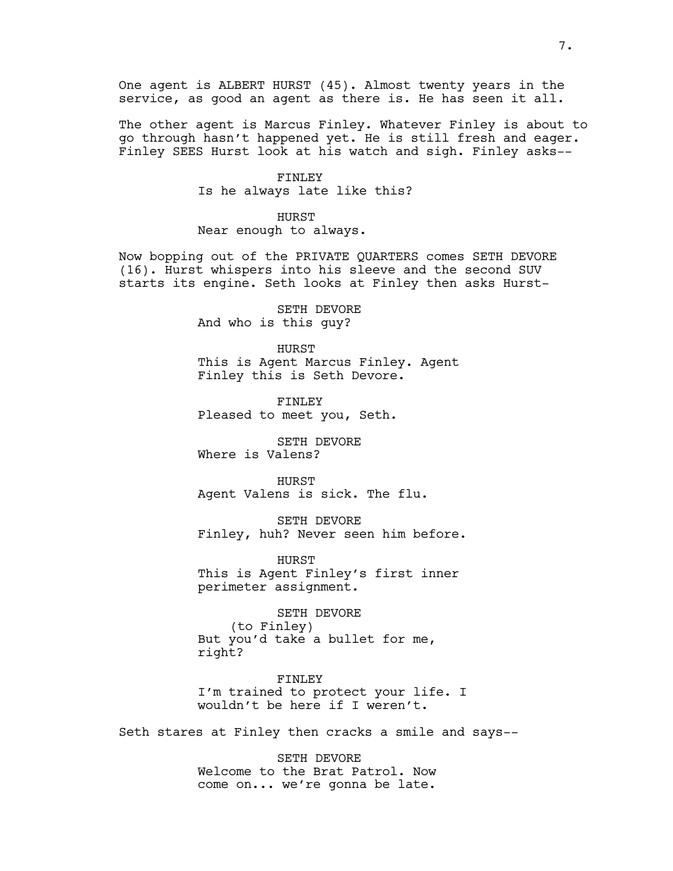One agent is ALBERT HURST (45). Almost twenty years in the service, as good an agent as there is. He has seen it all.

The other agent is Marcus Finley. Whatever Finley is about to go through hasn't happened yet. He is still fresh and eager. Finley SEES Hurst look at his watch and sigh. Finley asks--

> FINLEY Is he always late like this?

HURST Near enough to always.

Now bopping out of the PRIVATE QUARTERS comes SETH DEVORE (16). Hurst whispers into his sleeve and the second SUV starts its engine. Seth looks at Finley then asks Hurst-

> SETH DEVORE And who is this guy?

HURST This is Agent Marcus Finley. Agent Finley this is Seth Devore.

FINLEY Pleased to meet you, Seth.

SETH DEVORE Where is Valens?

HURST Agent Valens is sick. The flu.

SETH DEVORE Finley, huh? Never seen him before.

HURST This is Agent Finley's first inner perimeter assignment.

SETH DEVORE (to Finley) But you'd take a bullet for me, right?

FINLEY I'm trained to protect your life. I wouldn't be here if I weren't.

Seth stares at Finley then cracks a smile and says--

SETH DEVORE Welcome to the Brat Patrol. Now come on... we're gonna be late.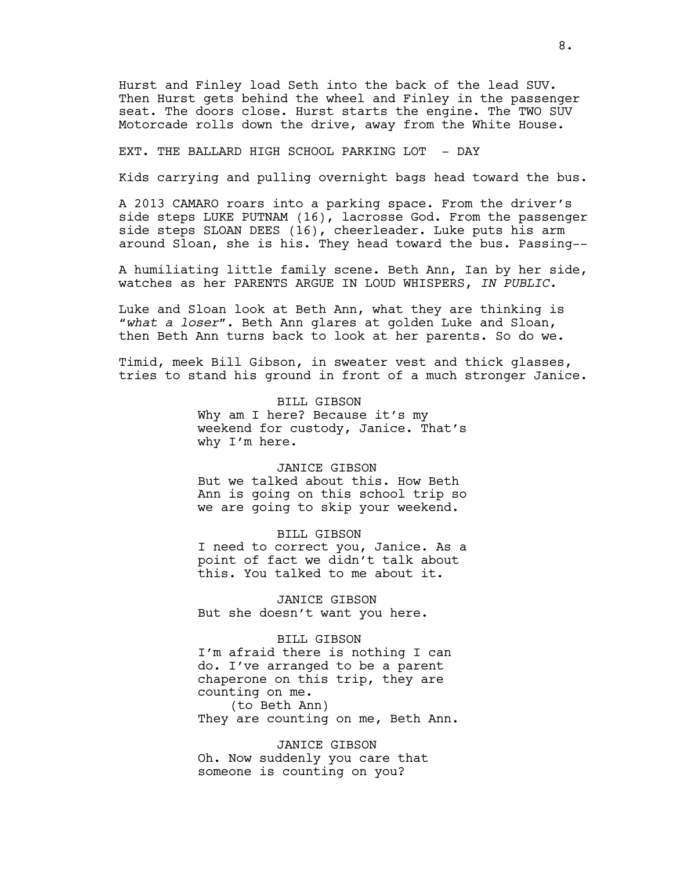Hurst and Finley load Seth into the back of the lead SUV. Then Hurst gets behind the wheel and Finley in the passenger seat. The doors close. Hurst starts the engine. The TWO SUV Motorcade rolls down the drive, away from the White House.

EXT. THE BALLARD HIGH SCHOOL PARKING LOT - DAY

Kids carrying and pulling overnight bags head toward the bus.

A 2013 CAMARO roars into a parking space. From the driver's side steps LUKE PUTNAM (16), lacrosse God. From the passenger side steps SLOAN DEES (16), cheerleader. Luke puts his arm around Sloan, she is his. They head toward the bus. Passing--

A humiliating little family scene. Beth Ann, Ian by her side, watches as her PARENTS ARGUE IN LOUD WHISPERS, *IN PUBLIC.* 

Luke and Sloan look at Beth Ann, what they are thinking is "*what a loser*". Beth Ann glares at golden Luke and Sloan, then Beth Ann turns back to look at her parents. So do we.

Timid, meek Bill Gibson, in sweater vest and thick glasses, tries to stand his ground in front of a much stronger Janice.

> BILL GIBSON Why am I here? Because it's my weekend for custody, Janice. That's why I'm here.

#### JANICE GIBSON

But we talked about this. How Beth Ann is going on this school trip so we are going to skip your weekend.

BILL GIBSON I need to correct you, Janice. As a point of fact we didn't talk about this. You talked to me about it.

JANICE GIBSON But she doesn't want you here.

BILL GIBSON I'm afraid there is nothing I can do. I've arranged to be a parent chaperone on this trip, they are counting on me. (to Beth Ann)

They are counting on me, Beth Ann.

JANICE GIBSON Oh. Now suddenly you care that someone is counting on you?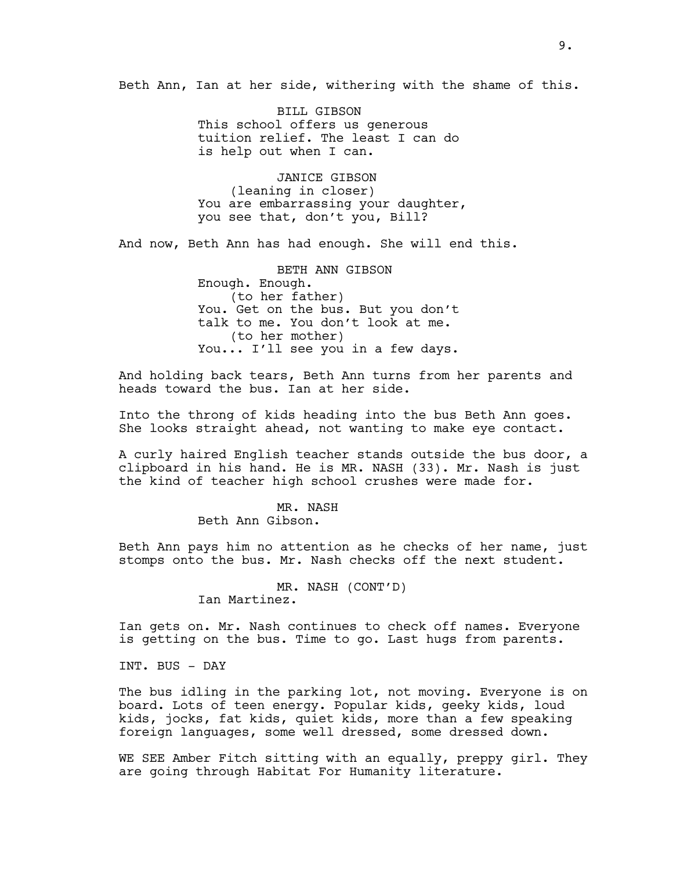Beth Ann, Ian at her side, withering with the shame of this.

BILL GIBSON This school offers us generous tuition relief. The least I can do is help out when I can.

JANICE GIBSON (leaning in closer) You are embarrassing your daughter, you see that, don't you, Bill?

And now, Beth Ann has had enough. She will end this.

BETH ANN GIBSON Enough. Enough. (to her father) You. Get on the bus. But you don't talk to me. You don't look at me. (to her mother) You... I'll see you in a few days.

And holding back tears, Beth Ann turns from her parents and heads toward the bus. Ian at her side.

Into the throng of kids heading into the bus Beth Ann goes. She looks straight ahead, not wanting to make eye contact.

A curly haired English teacher stands outside the bus door, a clipboard in his hand. He is MR. NASH (33). Mr. Nash is just the kind of teacher high school crushes were made for.

> MR. NASH Beth Ann Gibson.

Beth Ann pays him no attention as he checks of her name, just stomps onto the bus. Mr. Nash checks off the next student.

> MR. NASH (CONT'D) Ian Martinez.

Ian gets on. Mr. Nash continues to check off names. Everyone is getting on the bus. Time to go. Last hugs from parents.

INT. BUS - DAY

The bus idling in the parking lot, not moving. Everyone is on board. Lots of teen energy. Popular kids, geeky kids, loud kids, jocks, fat kids, quiet kids, more than a few speaking foreign languages, some well dressed, some dressed down.

WE SEE Amber Fitch sitting with an equally, preppy girl. They are going through Habitat For Humanity literature.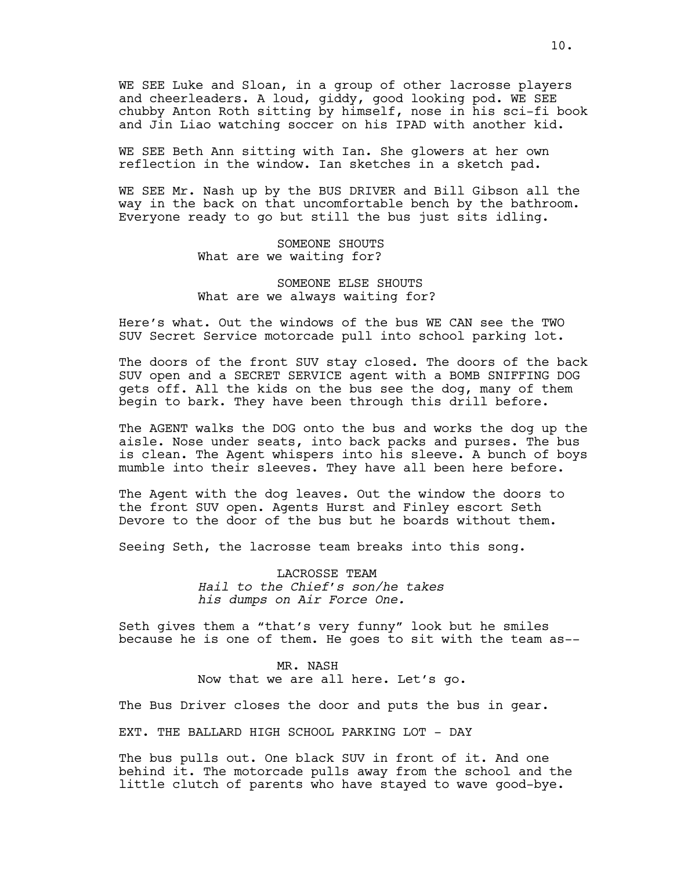WE SEE Luke and Sloan, in a group of other lacrosse players and cheerleaders. A loud, giddy, good looking pod. WE SEE chubby Anton Roth sitting by himself, nose in his sci-fi book and Jin Liao watching soccer on his IPAD with another kid.

WE SEE Beth Ann sitting with Ian. She glowers at her own reflection in the window. Ian sketches in a sketch pad.

WE SEE Mr. Nash up by the BUS DRIVER and Bill Gibson all the way in the back on that uncomfortable bench by the bathroom. Everyone ready to go but still the bus just sits idling.

> SOMEONE SHOUTS What are we waiting for?

SOMEONE ELSE SHOUTS What are we always waiting for?

Here's what. Out the windows of the bus WE CAN see the TWO SUV Secret Service motorcade pull into school parking lot.

The doors of the front SUV stay closed. The doors of the back SUV open and a SECRET SERVICE agent with a BOMB SNIFFING DOG gets off. All the kids on the bus see the dog, many of them begin to bark. They have been through this drill before.

The AGENT walks the DOG onto the bus and works the dog up the aisle. Nose under seats, into back packs and purses. The bus is clean. The Agent whispers into his sleeve. A bunch of boys mumble into their sleeves. They have all been here before.

The Agent with the dog leaves. Out the window the doors to the front SUV open. Agents Hurst and Finley escort Seth Devore to the door of the bus but he boards without them.

Seeing Seth, the lacrosse team breaks into this song.

LACROSSE TEAM *Hail to the Chief's son/he takes his dumps on Air Force One.*

Seth gives them a "that's very funny" look but he smiles because he is one of them. He goes to sit with the team as--

> MR. NASH Now that we are all here. Let's go.

The Bus Driver closes the door and puts the bus in gear.

EXT. THE BALLARD HIGH SCHOOL PARKING LOT - DAY

The bus pulls out. One black SUV in front of it. And one behind it. The motorcade pulls away from the school and the little clutch of parents who have stayed to wave good-bye.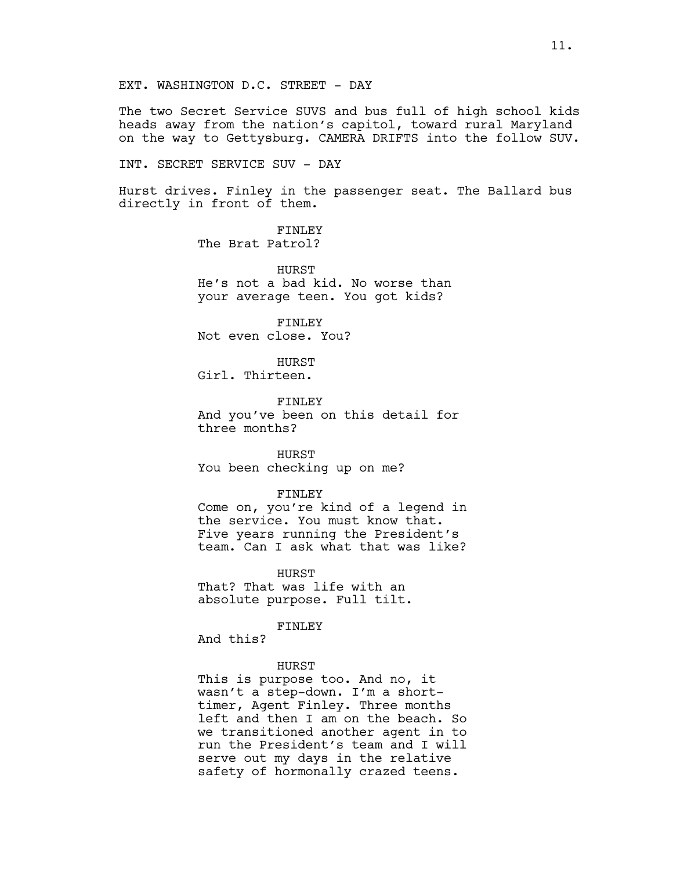EXT. WASHINGTON D.C. STREET - DAY

The two Secret Service SUVS and bus full of high school kids heads away from the nation's capitol, toward rural Maryland on the way to Gettysburg. CAMERA DRIFTS into the follow SUV.

INT. SECRET SERVICE SUV - DAY

Hurst drives. Finley in the passenger seat. The Ballard bus directly in front of them.

> FINLEY The Brat Patrol?

HURST He's not a bad kid. No worse than your average teen. You got kids?

FINLEY Not even close. You?

HURST Girl. Thirteen.

FINLEY And you've been on this detail for three months?

HURST You been checking up on me?

FINLEY

Come on, you're kind of a legend in the service. You must know that. Five years running the President's team. Can I ask what that was like?

**HURST** That? That was life with an absolute purpose. Full tilt.

FINLEY

And this?

### HURST

This is purpose too. And no, it wasn't a step-down. I'm a shorttimer, Agent Finley. Three months left and then I am on the beach. So we transitioned another agent in to run the President's team and I will serve out my days in the relative safety of hormonally crazed teens.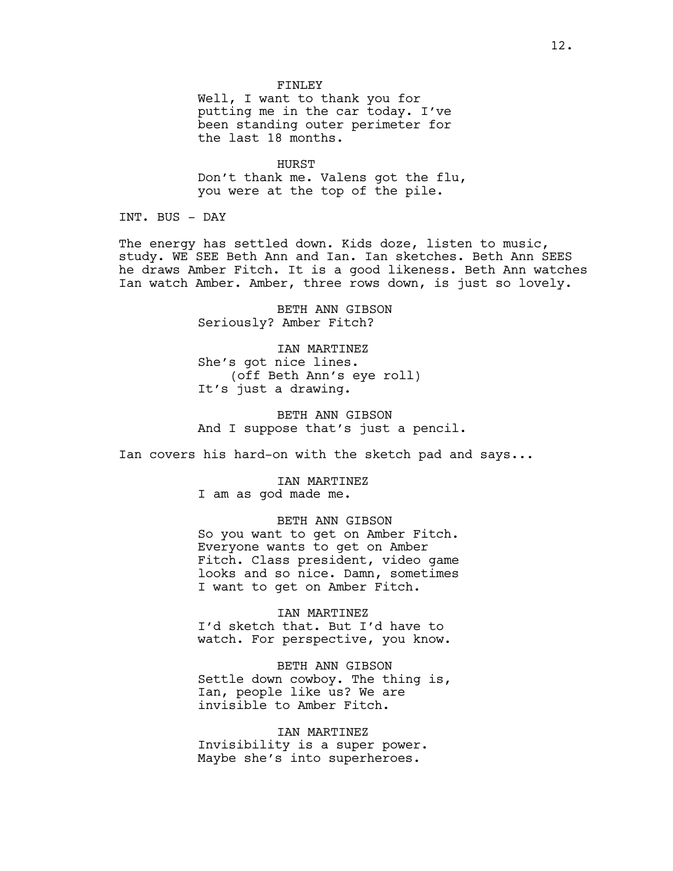#### FINLEY

Well, I want to thank you for putting me in the car today. I've been standing outer perimeter for the last 18 months.

HURST Don't thank me. Valens got the flu, you were at the top of the pile.

INT. BUS - DAY

The energy has settled down. Kids doze, listen to music, study. WE SEE Beth Ann and Ian. Ian sketches. Beth Ann SEES he draws Amber Fitch. It is a good likeness. Beth Ann watches Ian watch Amber. Amber, three rows down, is just so lovely.

> BETH ANN GIBSON Seriously? Amber Fitch?

IAN MARTINEZ She's got nice lines. (off Beth Ann's eye roll) It's just a drawing.

BETH ANN GIBSON And I suppose that's just a pencil.

Ian covers his hard-on with the sketch pad and says...

IAN MARTINEZ I am as god made me.

BETH ANN GIBSON So you want to get on Amber Fitch. Everyone wants to get on Amber Fitch. Class president, video game looks and so nice. Damn, sometimes I want to get on Amber Fitch.

IAN MARTINEZ I'd sketch that. But I'd have to watch. For perspective, you know.

BETH ANN GIBSON Settle down cowboy. The thing is, Ian, people like us? We are invisible to Amber Fitch.

IAN MARTINEZ Invisibility is a super power. Maybe she's into superheroes.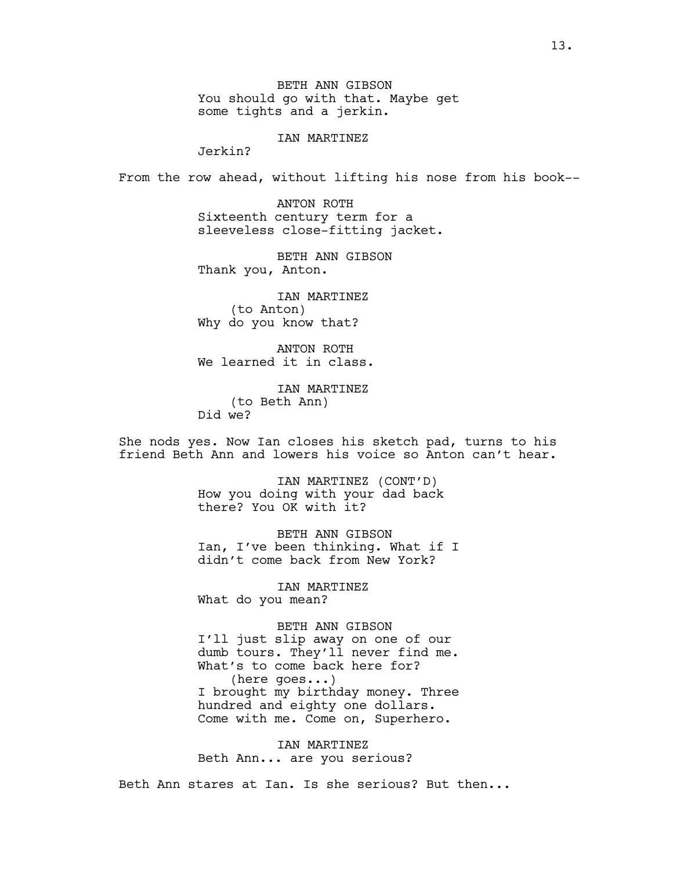BETH ANN GIBSON You should go with that. Maybe get some tights and a jerkin.

IAN MARTINEZ

Jerkin?

From the row ahead, without lifting his nose from his book--

ANTON ROTH Sixteenth century term for a sleeveless close-fitting jacket.

BETH ANN GIBSON Thank you, Anton.

IAN MARTINEZ (to Anton) Why do you know that?

ANTON ROTH We learned it in class.

IAN MARTINEZ (to Beth Ann) Did we?

She nods yes. Now Ian closes his sketch pad, turns to his friend Beth Ann and lowers his voice so Anton can't hear.

> IAN MARTINEZ (CONT'D) How you doing with your dad back there? You OK with it?

BETH ANN GIBSON Ian, I've been thinking. What if I didn't come back from New York?

IAN MARTINEZ What do you mean?

BETH ANN GIBSON I'll just slip away on one of our dumb tours. They'll never find me. What's to come back here for? (here goes...) I brought my birthday money. Three hundred and eighty one dollars. Come with me. Come on, Superhero.

IAN MARTINEZ Beth Ann... are you serious?

Beth Ann stares at Ian. Is she serious? But then...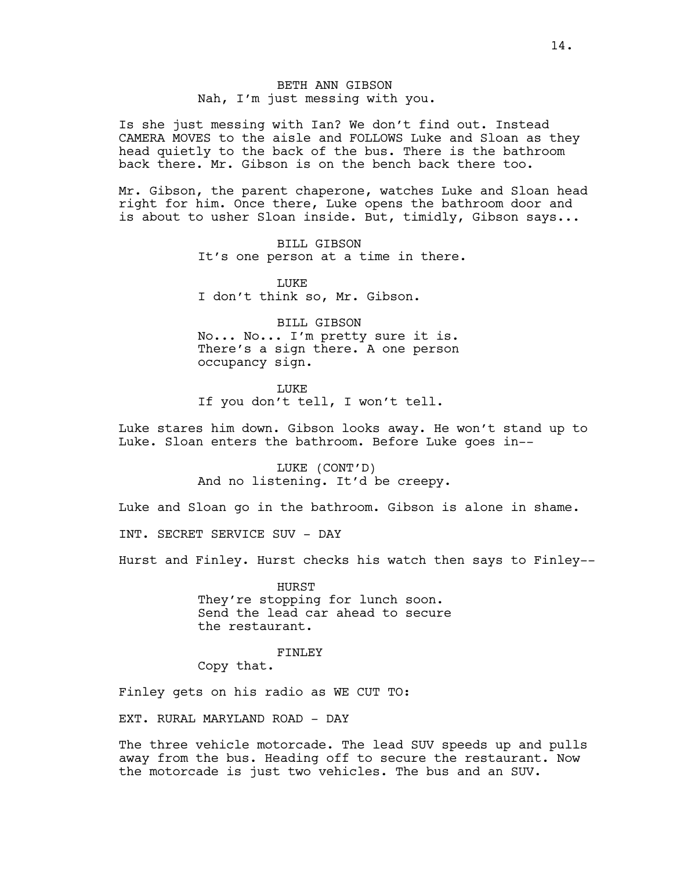# BETH ANN GIBSON Nah, I'm just messing with you.

Is she just messing with Ian? We don't find out. Instead CAMERA MOVES to the aisle and FOLLOWS Luke and Sloan as they head quietly to the back of the bus. There is the bathroom back there. Mr. Gibson is on the bench back there too.

Mr. Gibson, the parent chaperone, watches Luke and Sloan head right for him. Once there, Luke opens the bathroom door and is about to usher Sloan inside. But, timidly, Gibson says...

> BILL GIBSON It's one person at a time in there.

**LUKE** I don't think so, Mr. Gibson.

BILL GIBSON No... No... I'm pretty sure it is. There's a sign there. A one person occupancy sign.

LUKE If you don't tell, I won't tell.

Luke stares him down. Gibson looks away. He won't stand up to Luke. Sloan enters the bathroom. Before Luke goes in--

> LUKE (CONT'D) And no listening. It'd be creepy.

Luke and Sloan go in the bathroom. Gibson is alone in shame. INT. SECRET SERVICE SUV - DAY

Hurst and Finley. Hurst checks his watch then says to Finley--

HURST They're stopping for lunch soon. Send the lead car ahead to secure the restaurant.

#### FINLEY

Copy that.

Finley gets on his radio as WE CUT TO:

EXT. RURAL MARYLAND ROAD - DAY

The three vehicle motorcade. The lead SUV speeds up and pulls away from the bus. Heading off to secure the restaurant. Now the motorcade is just two vehicles. The bus and an SUV.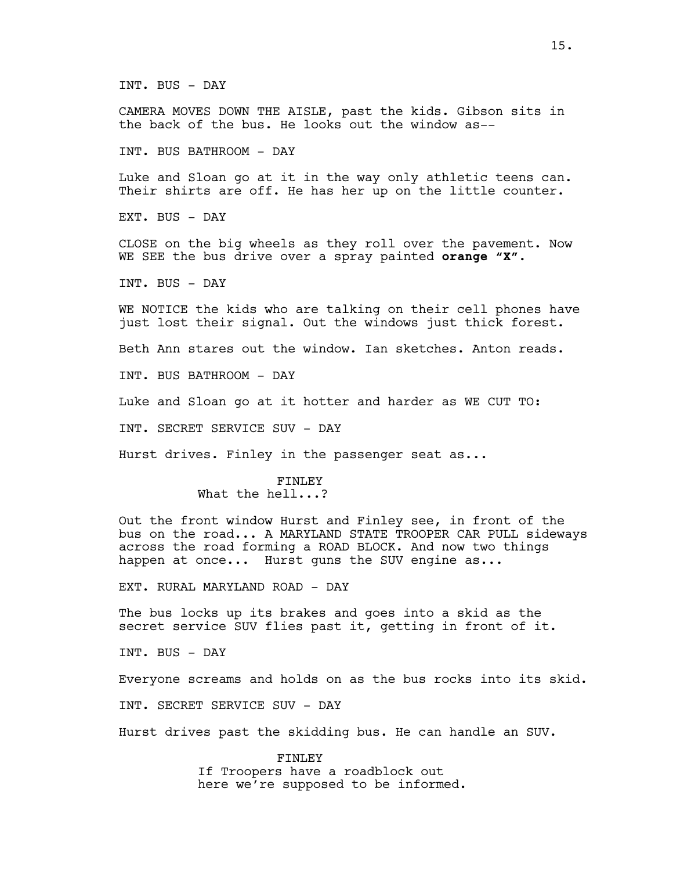CAMERA MOVES DOWN THE AISLE, past the kids. Gibson sits in the back of the bus. He looks out the window as--

INT. BUS BATHROOM - DAY

Luke and Sloan go at it in the way only athletic teens can. Their shirts are off. He has her up on the little counter.

EXT. BUS - DAY

CLOSE on the big wheels as they roll over the pavement. Now WE SEE the bus drive over a spray painted **orange "X".**

INT. BUS - DAY

WE NOTICE the kids who are talking on their cell phones have just lost their signal. Out the windows just thick forest.

Beth Ann stares out the window. Ian sketches. Anton reads.

INT. BUS BATHROOM - DAY

Luke and Sloan go at it hotter and harder as WE CUT TO:

INT. SECRET SERVICE SUV - DAY

Hurst drives. Finley in the passenger seat as...

#### FINLEY

# What the hell...?

Out the front window Hurst and Finley see, in front of the bus on the road... A MARYLAND STATE TROOPER CAR PULL sideways across the road forming a ROAD BLOCK. And now two things happen at once... Hurst quns the SUV engine as...

EXT. RURAL MARYLAND ROAD - DAY

The bus locks up its brakes and goes into a skid as the secret service SUV flies past it, getting in front of it.

INT. BUS - DAY

Everyone screams and holds on as the bus rocks into its skid.

INT. SECRET SERVICE SUV - DAY

Hurst drives past the skidding bus. He can handle an SUV.

FINLEY If Troopers have a roadblock out here we're supposed to be informed.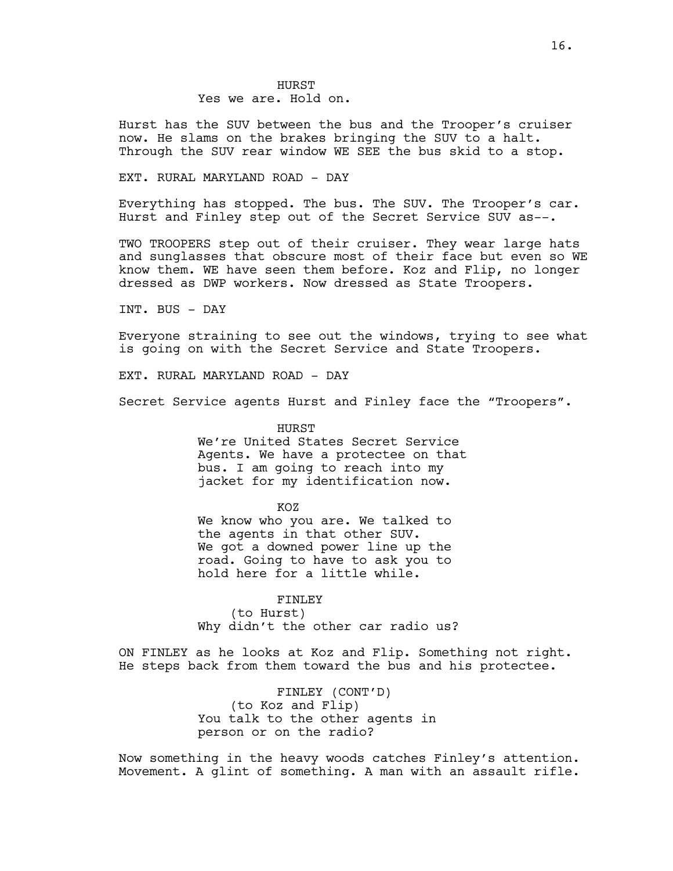Hurst has the SUV between the bus and the Trooper's cruiser now. He slams on the brakes bringing the SUV to a halt. Through the SUV rear window WE SEE the bus skid to a stop.

### EXT. RURAL MARYLAND ROAD - DAY

Everything has stopped. The bus. The SUV. The Trooper's car. Hurst and Finley step out of the Secret Service SUV as--.

TWO TROOPERS step out of their cruiser. They wear large hats and sunglasses that obscure most of their face but even so WE know them. WE have seen them before. Koz and Flip, no longer dressed as DWP workers. Now dressed as State Troopers.

INT. BUS - DAY

Everyone straining to see out the windows, trying to see what is going on with the Secret Service and State Troopers.

EXT. RURAL MARYLAND ROAD - DAY

Secret Service agents Hurst and Finley face the "Troopers".

HURST We're United States Secret Service Agents. We have a protectee on that bus. I am going to reach into my jacket for my identification now.

KOZ

We know who you are. We talked to the agents in that other SUV. We got a downed power line up the road. Going to have to ask you to hold here for a little while.

FINLEY

(to Hurst) Why didn't the other car radio us?

ON FINLEY as he looks at Koz and Flip. Something not right. He steps back from them toward the bus and his protectee.

> FINLEY (CONT'D) (to Koz and Flip) You talk to the other agents in person or on the radio?

Now something in the heavy woods catches Finley's attention. Movement. A glint of something. A man with an assault rifle.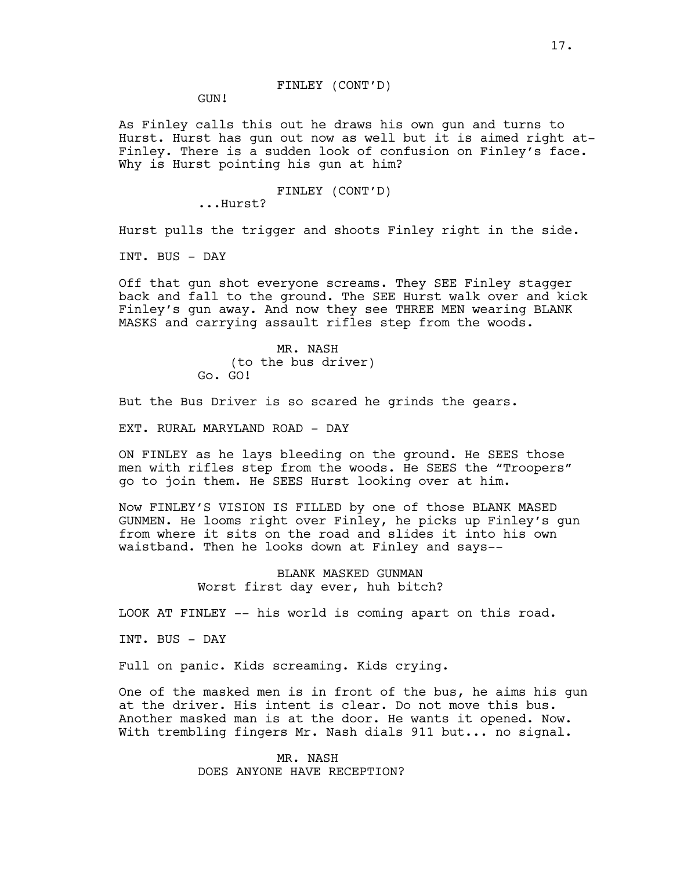# FINLEY (CONT'D)

GUN!

As Finley calls this out he draws his own gun and turns to Hurst. Hurst has gun out now as well but it is aimed right at-Finley. There is a sudden look of confusion on Finley's face. Why is Hurst pointing his gun at him?

#### FINLEY (CONT'D)

...Hurst?

Hurst pulls the trigger and shoots Finley right in the side.

INT. BUS - DAY

Off that gun shot everyone screams. They SEE Finley stagger back and fall to the ground. The SEE Hurst walk over and kick Finley's gun away. And now they see THREE MEN wearing BLANK MASKS and carrying assault rifles step from the woods.

> MR. NASH (to the bus driver) Go. GO!

But the Bus Driver is so scared he grinds the gears.

EXT. RURAL MARYLAND ROAD - DAY

ON FINLEY as he lays bleeding on the ground. He SEES those men with rifles step from the woods. He SEES the "Troopers" go to join them. He SEES Hurst looking over at him.

Now FINLEY'S VISION IS FILLED by one of those BLANK MASED GUNMEN. He looms right over Finley, he picks up Finley's gun from where it sits on the road and slides it into his own waistband. Then he looks down at Finley and says--

> BLANK MASKED GUNMAN Worst first day ever, huh bitch?

LOOK AT FINLEY -- his world is coming apart on this road.

INT. BUS - DAY

Full on panic. Kids screaming. Kids crying.

One of the masked men is in front of the bus, he aims his gun at the driver. His intent is clear. Do not move this bus. Another masked man is at the door. He wants it opened. Now. With trembling fingers Mr. Nash dials 911 but... no signal.

> MR. NASH DOES ANYONE HAVE RECEPTION?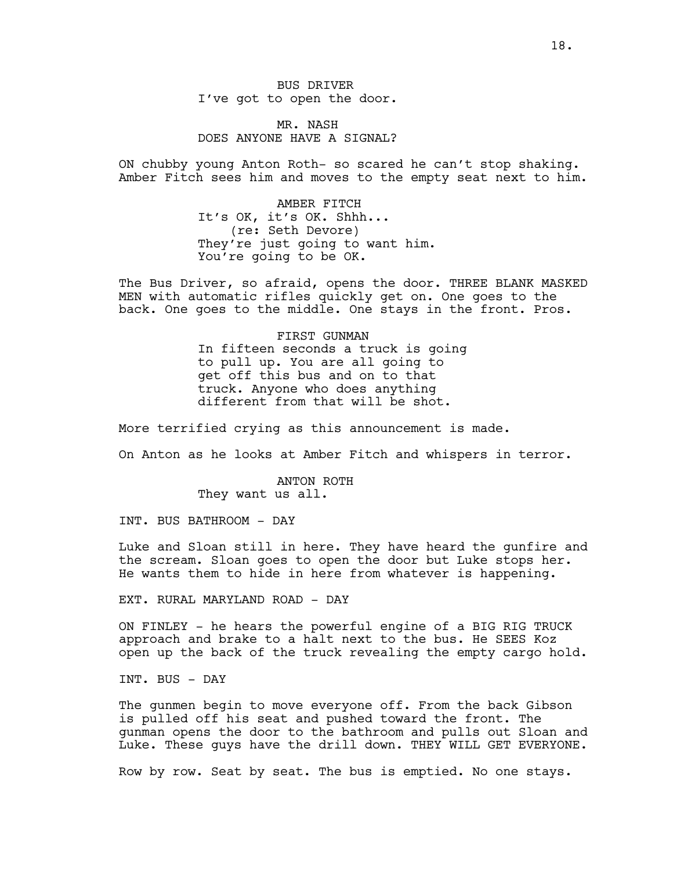BUS DRIVER I've got to open the door.

# MR. NASH DOES ANYONE HAVE A SIGNAL?

ON chubby young Anton Roth- so scared he can't stop shaking. Amber Fitch sees him and moves to the empty seat next to him.

> AMBER FITCH It's OK, it's OK. Shhh... (re: Seth Devore) They're just going to want him. You're going to be OK.

The Bus Driver, so afraid, opens the door. THREE BLANK MASKED MEN with automatic rifles quickly get on. One goes to the back. One goes to the middle. One stays in the front. Pros.

> FIRST GUNMAN In fifteen seconds a truck is going to pull up. You are all going to get off this bus and on to that truck. Anyone who does anything different from that will be shot.

More terrified crying as this announcement is made.

On Anton as he looks at Amber Fitch and whispers in terror.

ANTON ROTH They want us all.

INT. BUS BATHROOM - DAY

Luke and Sloan still in here. They have heard the gunfire and the scream. Sloan goes to open the door but Luke stops her. He wants them to hide in here from whatever is happening.

EXT. RURAL MARYLAND ROAD - DAY

ON FINLEY - he hears the powerful engine of a BIG RIG TRUCK approach and brake to a halt next to the bus. He SEES Koz open up the back of the truck revealing the empty cargo hold.

INT. BUS - DAY

The gunmen begin to move everyone off. From the back Gibson is pulled off his seat and pushed toward the front. The gunman opens the door to the bathroom and pulls out Sloan and Luke. These guys have the drill down. THEY WILL GET EVERYONE.

Row by row. Seat by seat. The bus is emptied. No one stays.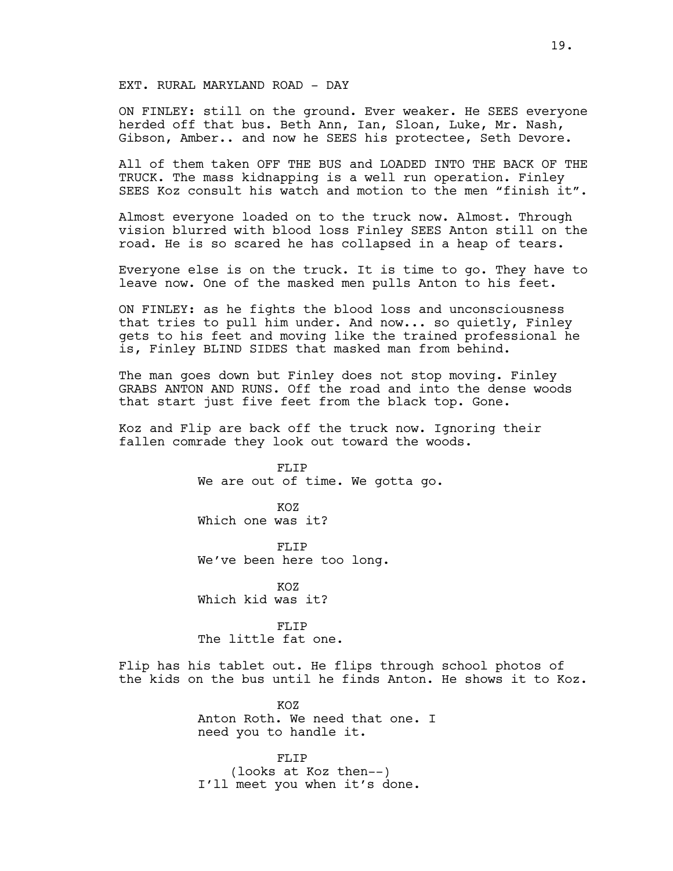# EXT. RURAL MARYLAND ROAD - DAY

ON FINLEY: still on the ground. Ever weaker. He SEES everyone herded off that bus. Beth Ann, Ian, Sloan, Luke, Mr. Nash, Gibson, Amber.. and now he SEES his protectee, Seth Devore.

All of them taken OFF THE BUS and LOADED INTO THE BACK OF THE TRUCK. The mass kidnapping is a well run operation. Finley SEES Koz consult his watch and motion to the men "finish it".

Almost everyone loaded on to the truck now. Almost. Through vision blurred with blood loss Finley SEES Anton still on the road. He is so scared he has collapsed in a heap of tears.

Everyone else is on the truck. It is time to go. They have to leave now. One of the masked men pulls Anton to his feet.

ON FINLEY: as he fights the blood loss and unconsciousness that tries to pull him under. And now... so quietly, Finley gets to his feet and moving like the trained professional he is, Finley BLIND SIDES that masked man from behind.

The man goes down but Finley does not stop moving. Finley GRABS ANTON AND RUNS. Off the road and into the dense woods that start just five feet from the black top. Gone.

Koz and Flip are back off the truck now. Ignoring their fallen comrade they look out toward the woods.

> FLIP We are out of time. We gotta go.

KOZ Which one was it?

FLTP We've been here too long.

KOZ Which kid was it?

FLIP The little fat one.

Flip has his tablet out. He flips through school photos of the kids on the bus until he finds Anton. He shows it to Koz.

> KOZ Anton Roth. We need that one. I need you to handle it.

FLIP (looks at Koz then--) I'll meet you when it's done.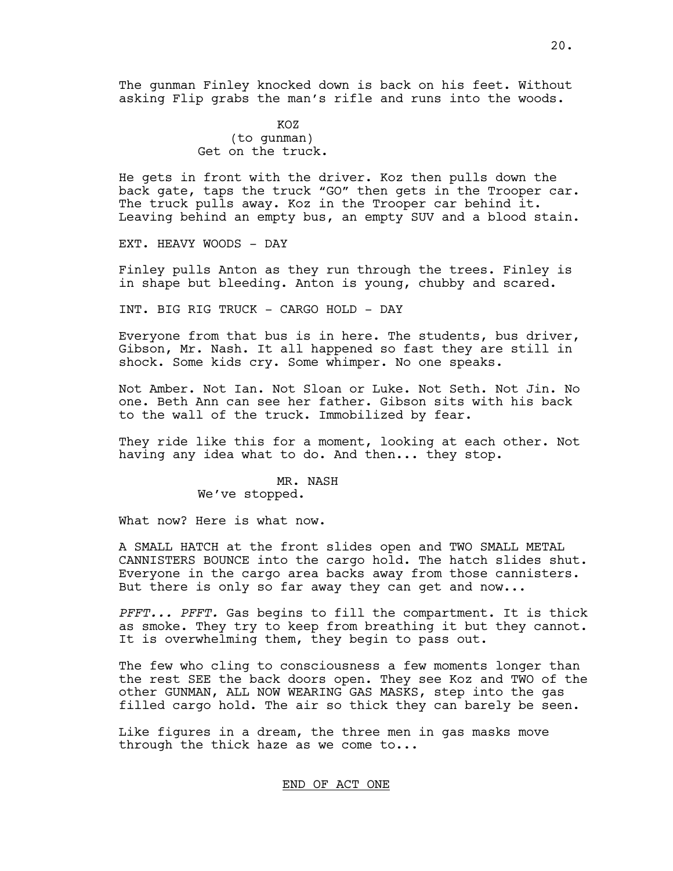The gunman Finley knocked down is back on his feet. Without asking Flip grabs the man's rifle and runs into the woods.

> KOZ (to gunman) Get on the truck.

He gets in front with the driver. Koz then pulls down the back gate, taps the truck "GO" then gets in the Trooper car. The truck pulls away. Koz in the Trooper car behind it. Leaving behind an empty bus, an empty SUV and a blood stain.

EXT. HEAVY WOODS - DAY

Finley pulls Anton as they run through the trees. Finley is in shape but bleeding. Anton is young, chubby and scared.

INT. BIG RIG TRUCK - CARGO HOLD - DAY

Everyone from that bus is in here. The students, bus driver, Gibson, Mr. Nash. It all happened so fast they are still in shock. Some kids cry. Some whimper. No one speaks.

Not Amber. Not Ian. Not Sloan or Luke. Not Seth. Not Jin. No one. Beth Ann can see her father. Gibson sits with his back to the wall of the truck. Immobilized by fear.

They ride like this for a moment, looking at each other. Not having any idea what to do. And then... they stop.

> MR. NASH We've stopped.

What now? Here is what now.

A SMALL HATCH at the front slides open and TWO SMALL METAL CANNISTERS BOUNCE into the cargo hold. The hatch slides shut. Everyone in the cargo area backs away from those cannisters. But there is only so far away they can get and now...

*PFFT... PFFT.* Gas begins to fill the compartment. It is thick as smoke. They try to keep from breathing it but they cannot. It is overwhelming them, they begin to pass out.

The few who cling to consciousness a few moments longer than the rest SEE the back doors open. They see Koz and TWO of the other GUNMAN, ALL NOW WEARING GAS MASKS, step into the gas filled cargo hold. The air so thick they can barely be seen.

Like figures in a dream, the three men in gas masks move through the thick haze as we come to...

# END OF ACT ONE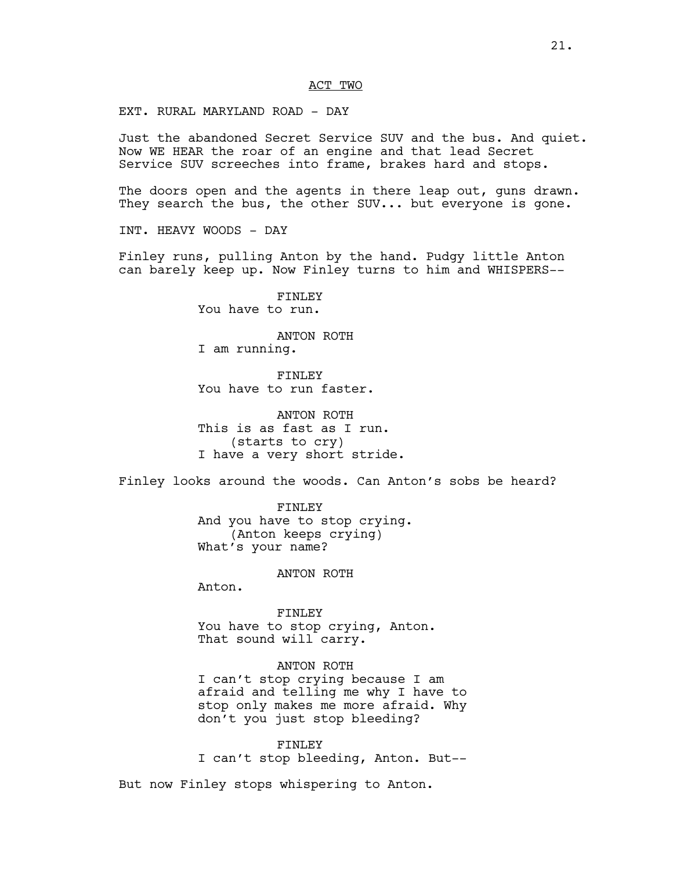### ACT TWO

EXT. RURAL MARYLAND ROAD - DAY

Just the abandoned Secret Service SUV and the bus. And quiet. Now WE HEAR the roar of an engine and that lead Secret Service SUV screeches into frame, brakes hard and stops.

The doors open and the agents in there leap out, guns drawn. They search the bus, the other SUV... but everyone is gone.

INT. HEAVY WOODS - DAY

Finley runs, pulling Anton by the hand. Pudgy little Anton can barely keep up. Now Finley turns to him and WHISPERS--

> FINLEY You have to run.

ANTON ROTH I am running.

FINLEY You have to run faster.

ANTON ROTH This is as fast as I run. (starts to cry) I have a very short stride.

Finley looks around the woods. Can Anton's sobs be heard?

FINLEY And you have to stop crying. (Anton keeps crying) What's your name?

ANTON ROTH

Anton.

FINLEY You have to stop crying, Anton. That sound will carry.

# ANTON ROTH

I can't stop crying because I am afraid and telling me why I have to stop only makes me more afraid. Why don't you just stop bleeding?

FINLEY I can't stop bleeding, Anton. But--

But now Finley stops whispering to Anton.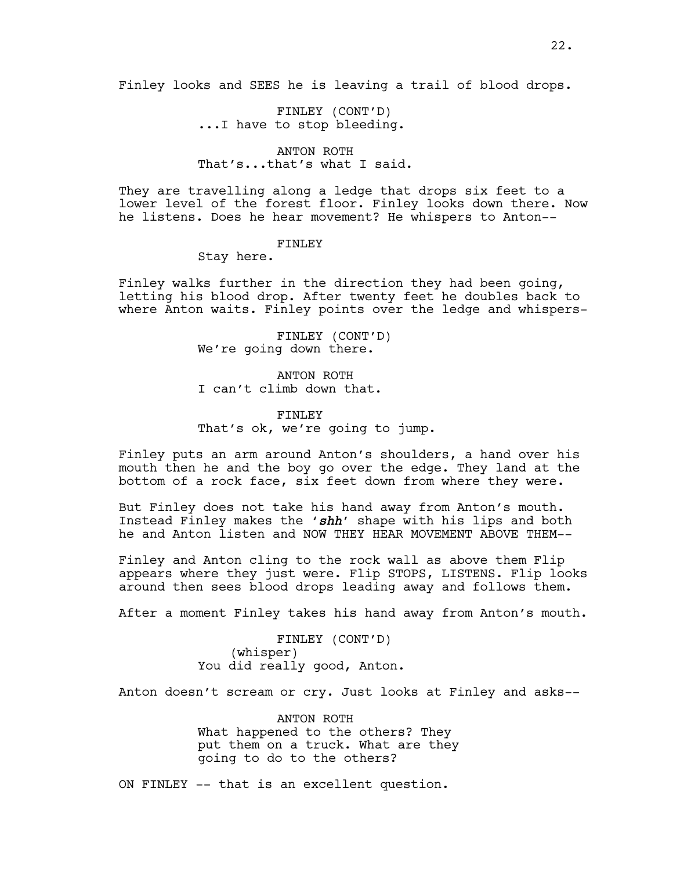Finley looks and SEES he is leaving a trail of blood drops.

FINLEY (CONT'D) ...I have to stop bleeding.

# ANTON ROTH That's...that's what I said.

They are travelling along a ledge that drops six feet to a lower level of the forest floor. Finley looks down there. Now he listens. Does he hear movement? He whispers to Anton--

# FINLEY

Stay here.

Finley walks further in the direction they had been going, letting his blood drop. After twenty feet he doubles back to where Anton waits. Finley points over the ledge and whispers-

> FINLEY (CONT'D) We're going down there.

ANTON ROTH I can't climb down that.

FINLEY That's ok, we're going to jump.

Finley puts an arm around Anton's shoulders, a hand over his mouth then he and the boy go over the edge. They land at the bottom of a rock face, six feet down from where they were.

But Finley does not take his hand away from Anton's mouth. Instead Finley makes the '*shh*' shape with his lips and both he and Anton listen and NOW THEY HEAR MOVEMENT ABOVE THEM--

Finley and Anton cling to the rock wall as above them Flip appears where they just were. Flip STOPS, LISTENS. Flip looks around then sees blood drops leading away and follows them.

After a moment Finley takes his hand away from Anton's mouth.

FINLEY (CONT'D) (whisper) You did really good, Anton.

Anton doesn't scream or cry. Just looks at Finley and asks--

ANTON ROTH What happened to the others? They put them on a truck. What are they going to do to the others?

ON FINLEY -- that is an excellent question.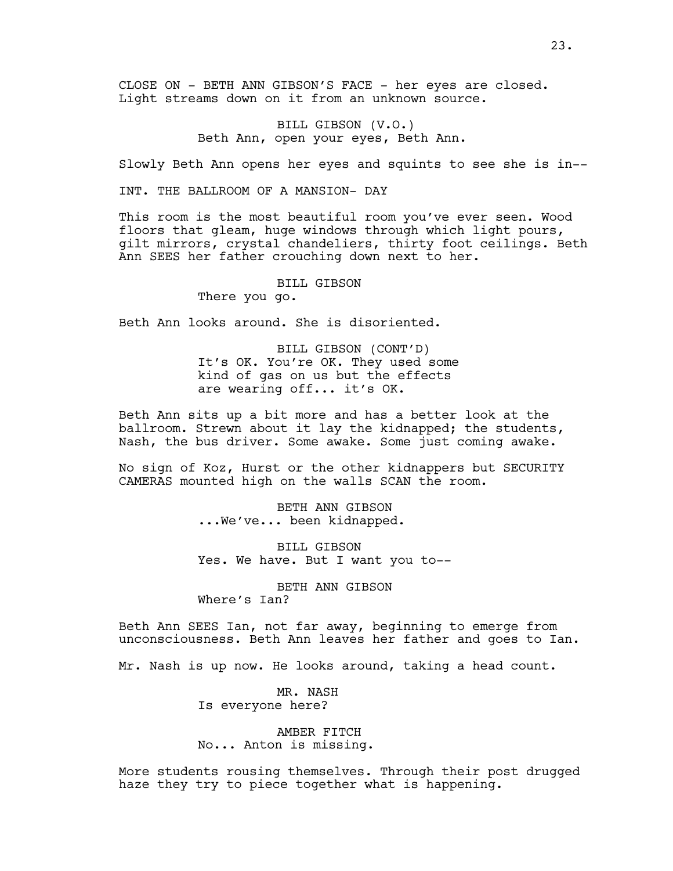CLOSE ON - BETH ANN GIBSON'S FACE - her eyes are closed. Light streams down on it from an unknown source.

> BILL GIBSON (V.O.) Beth Ann, open your eyes, Beth Ann.

Slowly Beth Ann opens her eyes and squints to see she is in--

INT. THE BALLROOM OF A MANSION- DAY

This room is the most beautiful room you've ever seen. Wood floors that gleam, huge windows through which light pours, gilt mirrors, crystal chandeliers, thirty foot ceilings. Beth Ann SEES her father crouching down next to her.

BILL GIBSON

There you go.

Beth Ann looks around. She is disoriented.

BILL GIBSON (CONT'D) It's OK. You're OK. They used some kind of gas on us but the effects are wearing off... it's OK.

Beth Ann sits up a bit more and has a better look at the ballroom. Strewn about it lay the kidnapped; the students, Nash, the bus driver. Some awake. Some just coming awake.

No sign of Koz, Hurst or the other kidnappers but SECURITY CAMERAS mounted high on the walls SCAN the room.

> BETH ANN GIBSON ...We've... been kidnapped.

BILL GIBSON Yes. We have. But I want you to--

BETH ANN GIBSON Where's Ian?

Beth Ann SEES Ian, not far away, beginning to emerge from unconsciousness. Beth Ann leaves her father and goes to Ian.

Mr. Nash is up now. He looks around, taking a head count.

MR. NASH Is everyone here?

AMBER FITCH No... Anton is missing.

More students rousing themselves. Through their post drugged haze they try to piece together what is happening.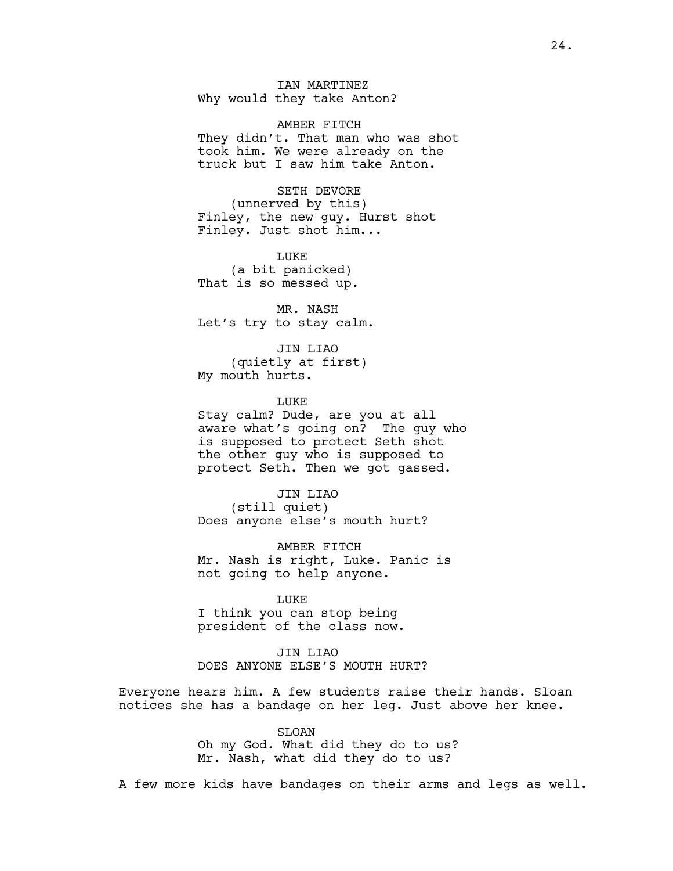IAN MARTINEZ Why would they take Anton?

AMBER FITCH They didn't. That man who was shot took him. We were already on the truck but I saw him take Anton.

SETH DEVORE (unnerved by this) Finley, the new guy. Hurst shot Finley. Just shot him...

LUKE (a bit panicked) That is so messed up.

MR. NASH Let's try to stay calm.

JIN LIAO (quietly at first) My mouth hurts.

**LUKE** 

Stay calm? Dude, are you at all aware what's going on? The guy who is supposed to protect Seth shot the other guy who is supposed to protect Seth. Then we got gassed.

JIN LIAO (still quiet) Does anyone else's mouth hurt?

AMBER FITCH Mr. Nash is right, Luke. Panic is not going to help anyone.

LUKE I think you can stop being president of the class now.

JIN LIAO DOES ANYONE ELSE'S MOUTH HURT?

Everyone hears him. A few students raise their hands. Sloan notices she has a bandage on her leg. Just above her knee.

> SLOAN Oh my God. What did they do to us? Mr. Nash, what did they do to us?

A few more kids have bandages on their arms and legs as well.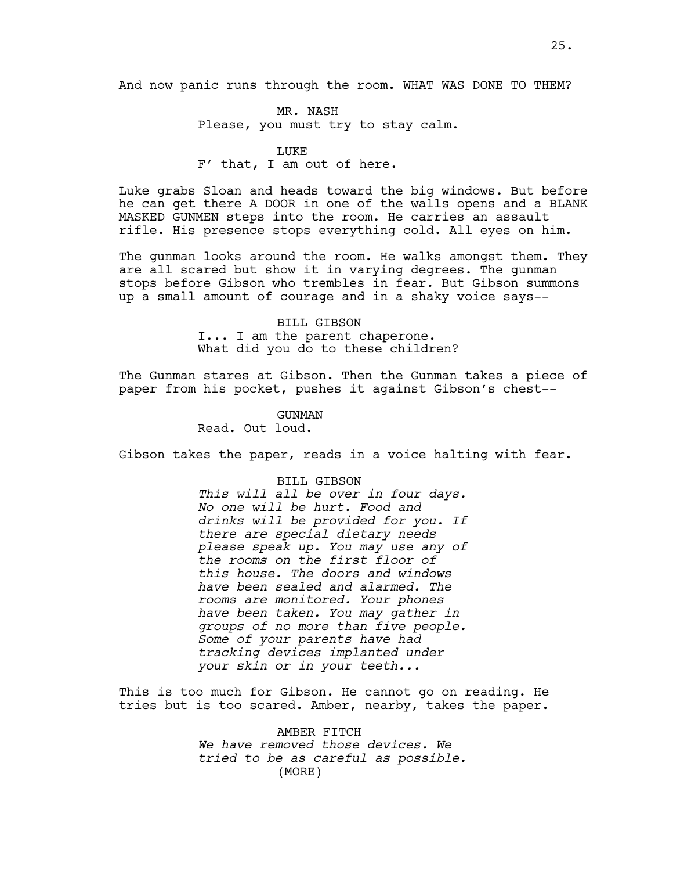And now panic runs through the room. WHAT WAS DONE TO THEM?

MR. NASH Please, you must try to stay calm.

# LUKE

# F' that, I am out of here.

Luke grabs Sloan and heads toward the big windows. But before he can get there A DOOR in one of the walls opens and a BLANK MASKED GUNMEN steps into the room. He carries an assault rifle. His presence stops everything cold. All eyes on him.

The gunman looks around the room. He walks amongst them. They are all scared but show it in varying degrees. The gunman stops before Gibson who trembles in fear. But Gibson summons up a small amount of courage and in a shaky voice says--

> BILL GIBSON I... I am the parent chaperone. What did you do to these children?

The Gunman stares at Gibson. Then the Gunman takes a piece of paper from his pocket, pushes it against Gibson's chest--

> GUNMAN Read. Out loud.

Gibson takes the paper, reads in a voice halting with fear.

### BILL GIBSON

*This will all be over in four days. No one will be hurt. Food and drinks will be provided for you. If there are special dietary needs please speak up. You may use any of the rooms on the first floor of this house. The doors and windows have been sealed and alarmed. The rooms are monitored. Your phones have been taken. You may gather in groups of no more than five people. Some of your parents have had tracking devices implanted under your skin or in your teeth...*

This is too much for Gibson. He cannot go on reading. He tries but is too scared. Amber, nearby, takes the paper.

> AMBER FITCH *We have removed those devices. We tried to be as careful as possible.*  (MORE)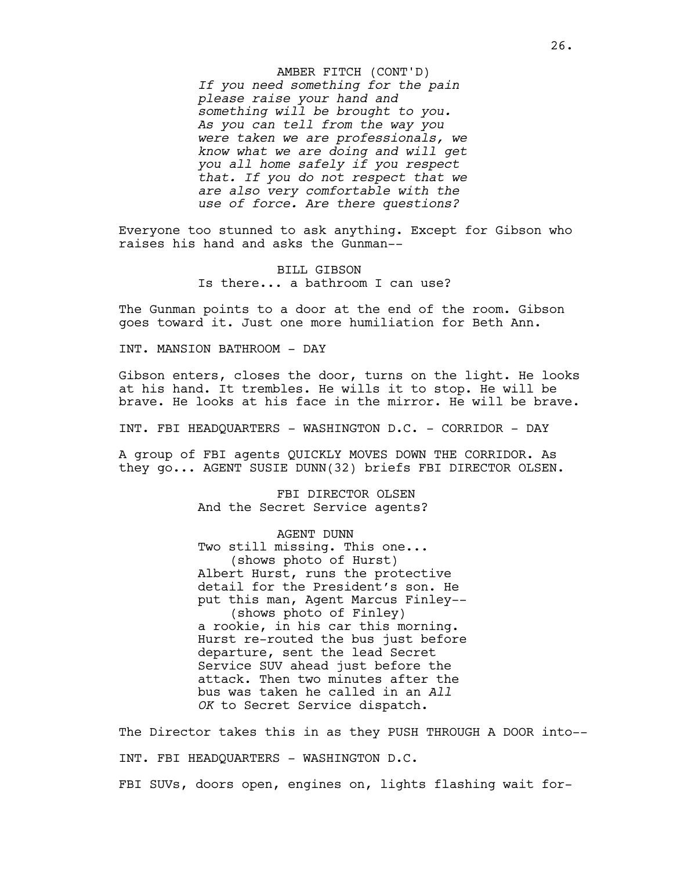*If you need something for the pain please raise your hand and something will be brought to you. As you can tell from the way you were taken we are professionals, we know what we are doing and will get you all home safely if you respect that. If you do not respect that we are also very comfortable with the use of force. Are there questions?* AMBER FITCH (CONT'D)

Everyone too stunned to ask anything. Except for Gibson who raises his hand and asks the Gunman--

> BILL GIBSON Is there... a bathroom I can use?

The Gunman points to a door at the end of the room. Gibson goes toward it. Just one more humiliation for Beth Ann.

INT. MANSION BATHROOM - DAY

Gibson enters, closes the door, turns on the light. He looks at his hand. It trembles. He wills it to stop. He will be brave. He looks at his face in the mirror. He will be brave.

INT. FBI HEADQUARTERS - WASHINGTON D.C. - CORRIDOR - DAY

A group of FBI agents QUICKLY MOVES DOWN THE CORRIDOR. As they go... AGENT SUSIE DUNN(32) briefs FBI DIRECTOR OLSEN.

> FBI DIRECTOR OLSEN And the Secret Service agents?

AGENT DUNN Two still missing. This one... (shows photo of Hurst) Albert Hurst, runs the protective detail for the President's son. He put this man, Agent Marcus Finley-- (shows photo of Finley) a rookie, in his car this morning. Hurst re-routed the bus just before departure, sent the lead Secret Service SUV ahead just before the attack. Then two minutes after the bus was taken he called in an *All OK* to Secret Service dispatch.

The Director takes this in as they PUSH THROUGH A DOOR into-- INT. FBI HEADQUARTERS - WASHINGTON D.C. FBI SUVs, doors open, engines on, lights flashing wait for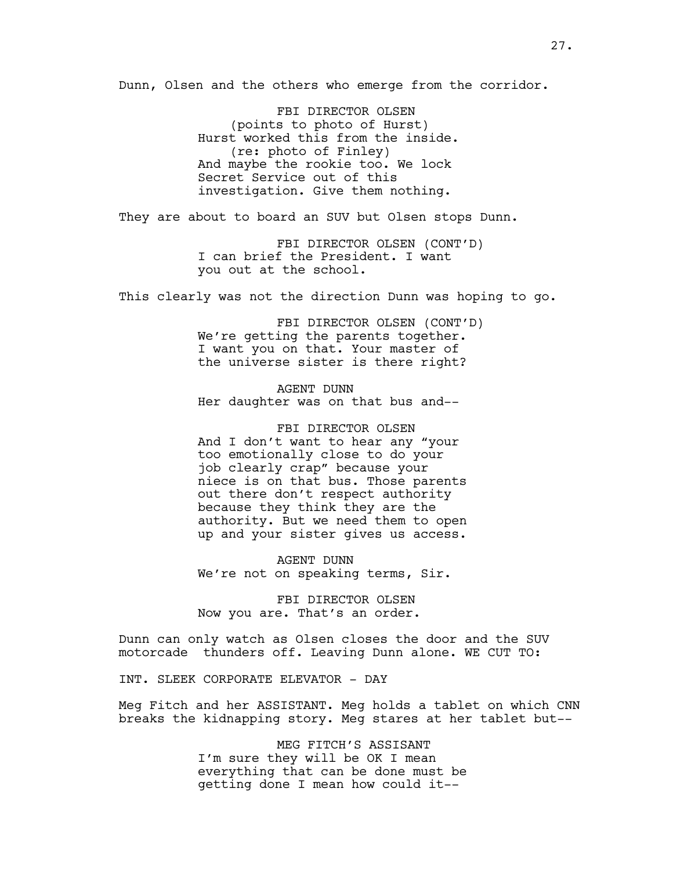Dunn, Olsen and the others who emerge from the corridor.

FBI DIRECTOR OLSEN (points to photo of Hurst) Hurst worked this from the inside. (re: photo of Finley) And maybe the rookie too. We lock Secret Service out of this investigation. Give them nothing.

They are about to board an SUV but Olsen stops Dunn.

FBI DIRECTOR OLSEN (CONT'D) I can brief the President. I want you out at the school.

This clearly was not the direction Dunn was hoping to go.

FBI DIRECTOR OLSEN (CONT'D) We're getting the parents together. I want you on that. Your master of the universe sister is there right?

AGENT DUNN Her daughter was on that bus and--

FBI DIRECTOR OLSEN And I don't want to hear any "your too emotionally close to do your job clearly crap" because your niece is on that bus. Those parents out there don't respect authority because they think they are the authority. But we need them to open up and your sister gives us access.

AGENT DUNN We're not on speaking terms, Sir.

FBI DIRECTOR OLSEN Now you are. That's an order.

Dunn can only watch as Olsen closes the door and the SUV motorcade thunders off. Leaving Dunn alone. WE CUT TO:

INT. SLEEK CORPORATE ELEVATOR - DAY

Meg Fitch and her ASSISTANT. Meg holds a tablet on which CNN breaks the kidnapping story. Meg stares at her tablet but--

> MEG FITCH'S ASSISANT I'm sure they will be OK I mean everything that can be done must be getting done I mean how could it--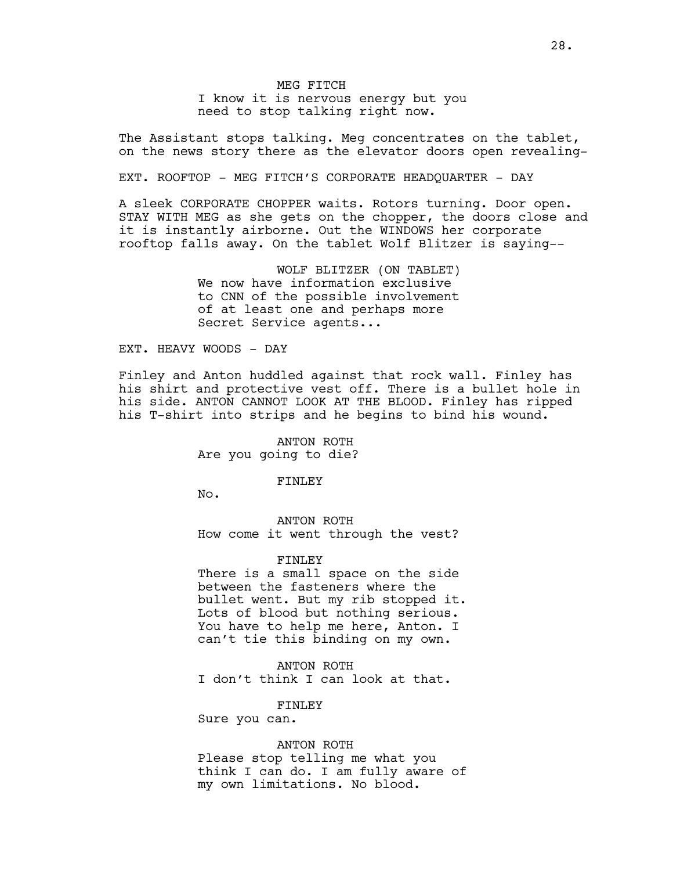MEG FITCH I know it is nervous energy but you need to stop talking right now.

The Assistant stops talking. Meg concentrates on the tablet, on the news story there as the elevator doors open revealing-

EXT. ROOFTOP - MEG FITCH'S CORPORATE HEADQUARTER - DAY

A sleek CORPORATE CHOPPER waits. Rotors turning. Door open. STAY WITH MEG as she gets on the chopper, the doors close and it is instantly airborne. Out the WINDOWS her corporate rooftop falls away. On the tablet Wolf Blitzer is saying--

> WOLF BLITZER (ON TABLET) We now have information exclusive to CNN of the possible involvement of at least one and perhaps more Secret Service agents...

### EXT. HEAVY WOODS - DAY

Finley and Anton huddled against that rock wall. Finley has his shirt and protective vest off. There is a bullet hole in his side. ANTON CANNOT LOOK AT THE BLOOD. Finley has ripped his T-shirt into strips and he begins to bind his wound.

> ANTON ROTH Are you going to die?

#### FINLEY

No.

ANTON ROTH How come it went through the vest?

#### FINLEY

There is a small space on the side between the fasteners where the bullet went. But my rib stopped it. Lots of blood but nothing serious. You have to help me here, Anton. I can't tie this binding on my own.

ANTON ROTH I don't think I can look at that.

FINLEY

Sure you can.

# ANTON ROTH

Please stop telling me what you think I can do. I am fully aware of my own limitations. No blood.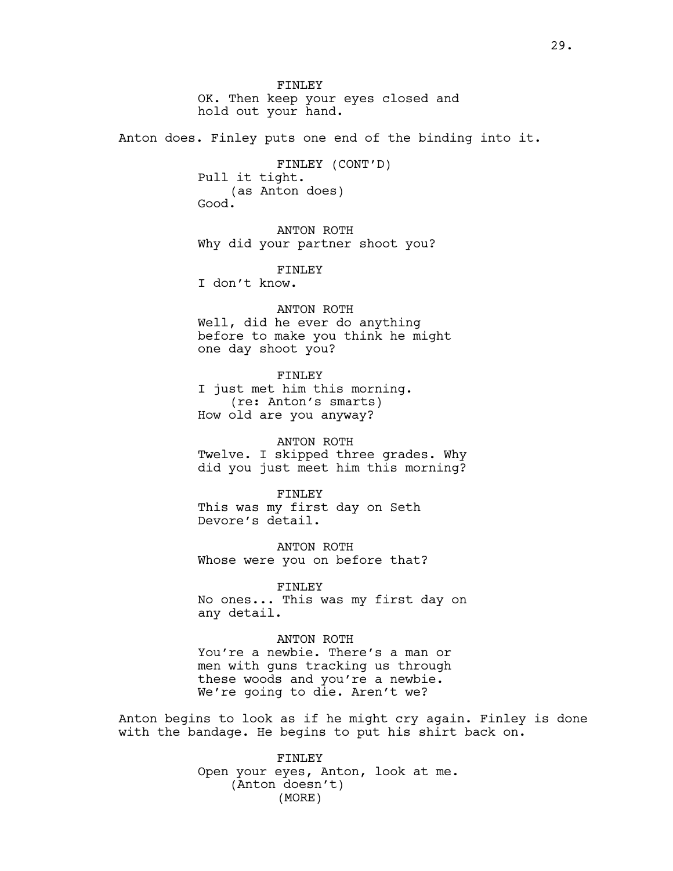FINLEY OK. Then keep your eyes closed and hold out your hand. Anton does. Finley puts one end of the binding into it. FINLEY (CONT'D) Pull it tight. (as Anton does) Good. ANTON ROTH Why did your partner shoot you? FINLEY I don't know. ANTON ROTH Well, did he ever do anything before to make you think he might one day shoot you? FINLEY I just met him this morning. (re: Anton's smarts) How old are you anyway? ANTON ROTH Twelve. I skipped three grades. Why did you just meet him this morning? FINLEY This was my first day on Seth Devore's detail. ANTON ROTH Whose were you on before that? FINLEY No ones... This was my first day on any detail. ANTON ROTH You're a newbie. There's a man or men with guns tracking us through these woods and you're a newbie. We're going to die. Aren't we?

Anton begins to look as if he might cry again. Finley is done with the bandage. He begins to put his shirt back on.

> FINLEY Open your eyes, Anton, look at me. (Anton doesn't) (MORE)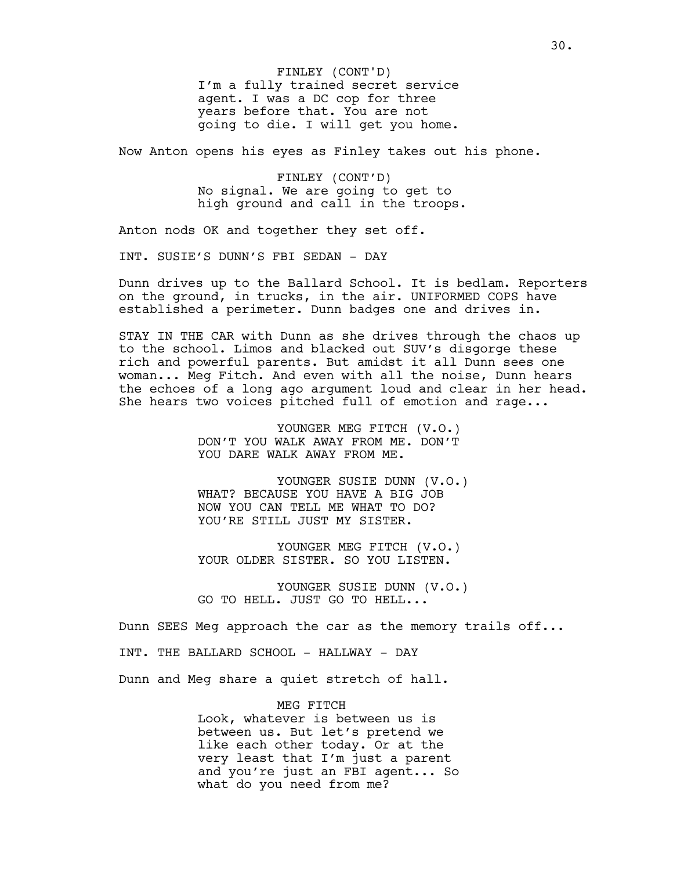I'm a fully trained secret service agent. I was a DC cop for three years before that. You are not going to die. I will get you home. FINLEY (CONT'D)

Now Anton opens his eyes as Finley takes out his phone.

FINLEY (CONT'D) No signal. We are going to get to high ground and call in the troops.

Anton nods OK and together they set off.

INT. SUSIE'S DUNN'S FBI SEDAN - DAY

Dunn drives up to the Ballard School. It is bedlam. Reporters on the ground, in trucks, in the air. UNIFORMED COPS have established a perimeter. Dunn badges one and drives in.

STAY IN THE CAR with Dunn as she drives through the chaos up to the school. Limos and blacked out SUV's disgorge these rich and powerful parents. But amidst it all Dunn sees one woman... Meg Fitch. And even with all the noise, Dunn hears the echoes of a long ago argument loud and clear in her head. She hears two voices pitched full of emotion and rage...

> YOUNGER MEG FITCH (V.O.) DON'T YOU WALK AWAY FROM ME. DON'T YOU DARE WALK AWAY FROM ME.

YOUNGER SUSIE DUNN (V.O.) WHAT? BECAUSE YOU HAVE A BIG JOB NOW YOU CAN TELL ME WHAT TO DO? YOU'RE STILL JUST MY SISTER.

YOUNGER MEG FITCH (V.O.) YOUR OLDER SISTER. SO YOU LISTEN.

YOUNGER SUSIE DUNN (V.O.) GO TO HELL. JUST GO TO HELL...

Dunn SEES Meg approach the car as the memory trails off...

INT. THE BALLARD SCHOOL - HALLWAY - DAY

Dunn and Meg share a quiet stretch of hall.

MEG FITCH Look, whatever is between us is between us. But let's pretend we like each other today. Or at the very least that I'm just a parent and you're just an FBI agent... So what do you need from me?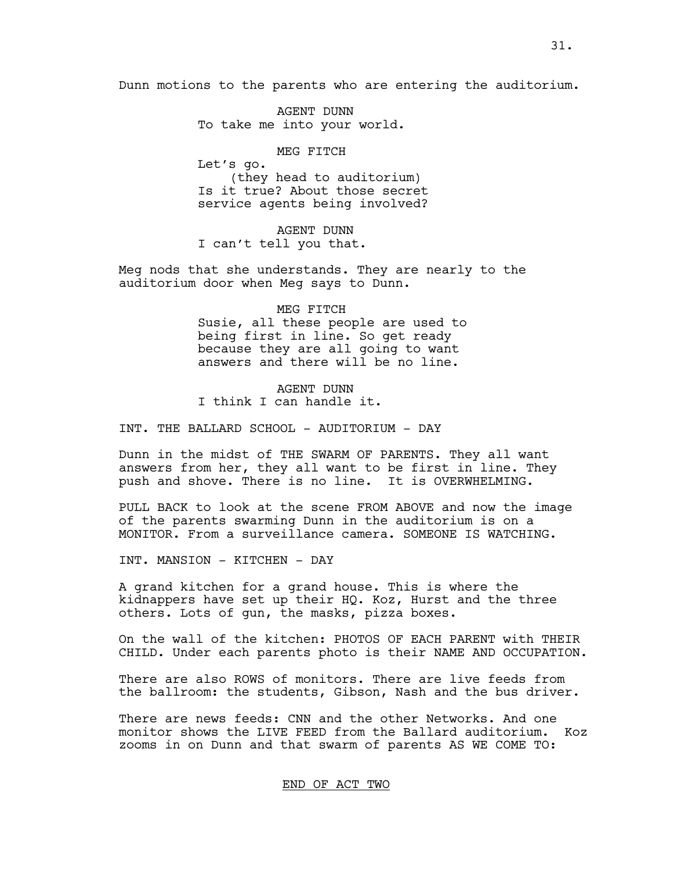Dunn motions to the parents who are entering the auditorium.

AGENT DUNN To take me into your world.

MEG FITCH Let's go. (they head to auditorium) Is it true? About those secret service agents being involved?

AGENT DUNN I can't tell you that.

Meg nods that she understands. They are nearly to the auditorium door when Meg says to Dunn.

> MEG FITCH Susie, all these people are used to being first in line. So get ready because they are all going to want answers and there will be no line.

AGENT DUNN I think I can handle it.

INT. THE BALLARD SCHOOL - AUDITORIUM - DAY

Dunn in the midst of THE SWARM OF PARENTS. They all want answers from her, they all want to be first in line. They push and shove. There is no line. It is OVERWHELMING.

PULL BACK to look at the scene FROM ABOVE and now the image of the parents swarming Dunn in the auditorium is on a MONITOR. From a surveillance camera. SOMEONE IS WATCHING.

INT. MANSION - KITCHEN - DAY

A grand kitchen for a grand house. This is where the kidnappers have set up their HQ. Koz, Hurst and the three others. Lots of gun, the masks, pizza boxes.

On the wall of the kitchen: PHOTOS OF EACH PARENT with THEIR CHILD. Under each parents photo is their NAME AND OCCUPATION.

There are also ROWS of monitors. There are live feeds from the ballroom: the students, Gibson, Nash and the bus driver.

There are news feeds: CNN and the other Networks. And one monitor shows the LIVE FEED from the Ballard auditorium. Koz zooms in on Dunn and that swarm of parents AS WE COME TO:

END OF ACT TWO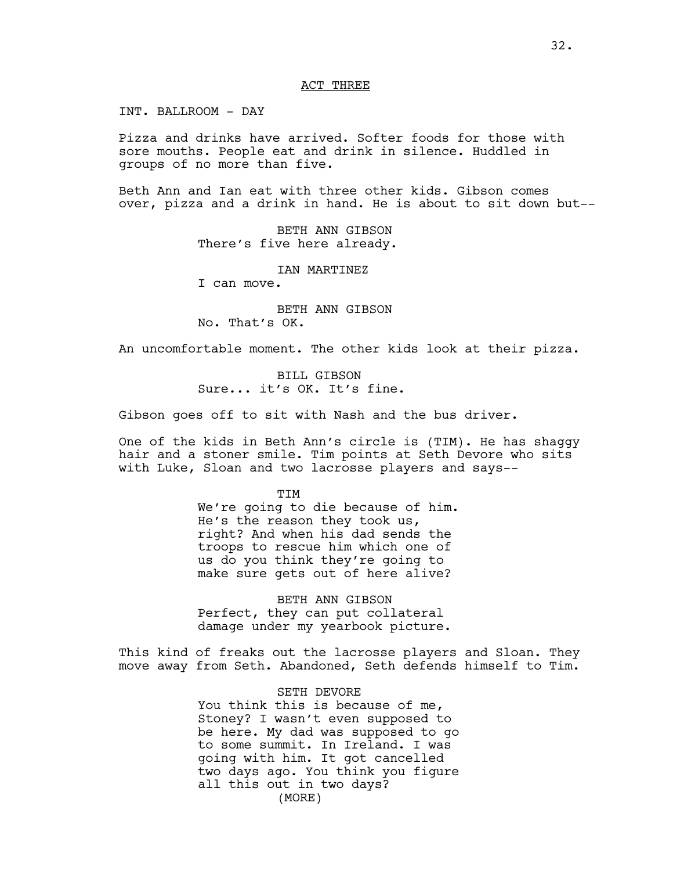### ACT THREE

INT. BALLROOM - DAY

Pizza and drinks have arrived. Softer foods for those with sore mouths. People eat and drink in silence. Huddled in groups of no more than five.

Beth Ann and Ian eat with three other kids. Gibson comes over, pizza and a drink in hand. He is about to sit down but--

> BETH ANN GIBSON There's five here already.

> > IAN MARTINEZ

I can move.

BETH ANN GIBSON No. That's OK.

An uncomfortable moment. The other kids look at their pizza.

BILL GIBSON Sure... it's OK. It's fine.

Gibson goes off to sit with Nash and the bus driver.

One of the kids in Beth Ann's circle is (TIM). He has shaggy hair and a stoner smile. Tim points at Seth Devore who sits with Luke, Sloan and two lacrosse players and says--

> **TTM** We're going to die because of him. He's the reason they took us, right? And when his dad sends the troops to rescue him which one of us do you think they're going to make sure gets out of here alive?

BETH ANN GIBSON Perfect, they can put collateral damage under my yearbook picture.

This kind of freaks out the lacrosse players and Sloan. They move away from Seth. Abandoned, Seth defends himself to Tim.

> SETH DEVORE You think this is because of me, Stoney? I wasn't even supposed to be here. My dad was supposed to go to some summit. In Ireland. I was going with him. It got cancelled two days ago. You think you figure all this out in two days? (MORE)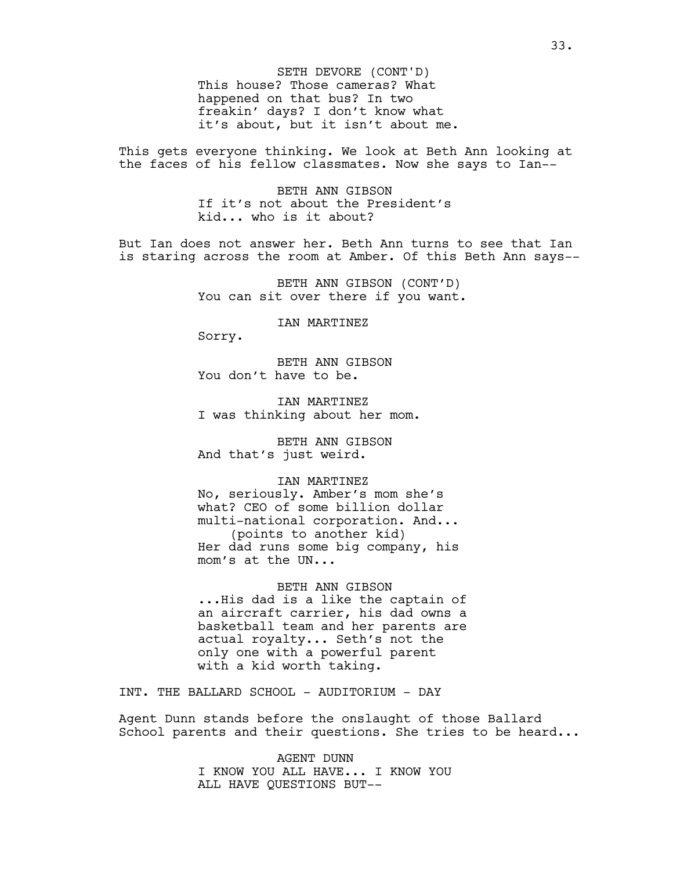This house? Those cameras? What happened on that bus? In two freakin' days? I don't know what it's about, but it isn't about me. SETH DEVORE (CONT'D)

This gets everyone thinking. We look at Beth Ann looking at the faces of his fellow classmates. Now she says to Ian--

> BETH ANN GIBSON If it's not about the President's kid... who is it about?

But Ian does not answer her. Beth Ann turns to see that Ian is staring across the room at Amber. Of this Beth Ann says--

> BETH ANN GIBSON (CONT'D) You can sit over there if you want.

> > IAN MARTINEZ

Sorry.

BETH ANN GIBSON You don't have to be.

IAN MARTINEZ I was thinking about her mom.

BETH ANN GIBSON And that's just weird.

IAN MARTINEZ

No, seriously. Amber's mom she's what? CEO of some billion dollar multi-national corporation. And... (points to another kid) Her dad runs some big company, his mom's at the UN...

BETH ANN GIBSON ...His dad is a like the captain of an aircraft carrier, his dad owns a basketball team and her parents are actual royalty... Seth's not the only one with a powerful parent with a kid worth taking.

INT. THE BALLARD SCHOOL - AUDITORIUM - DAY

Agent Dunn stands before the onslaught of those Ballard School parents and their questions. She tries to be heard...

> AGENT DUNN I KNOW YOU ALL HAVE... I KNOW YOU ALL HAVE QUESTIONS BUT--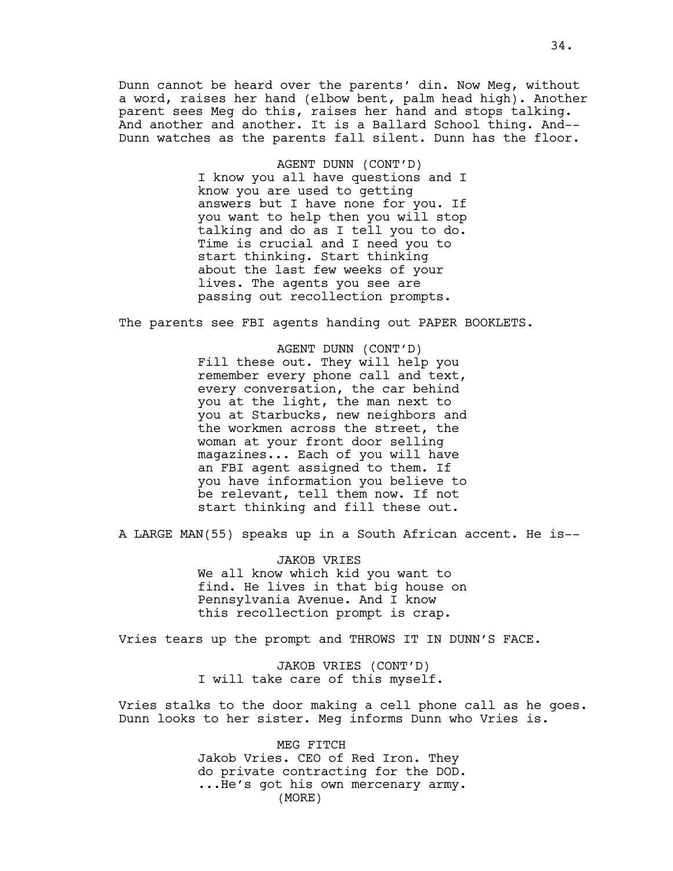Dunn cannot be heard over the parents' din. Now Meg, without a word, raises her hand (elbow bent, palm head high). Another parent sees Meg do this, raises her hand and stops talking. And another and another. It is a Ballard School thing. And-- Dunn watches as the parents fall silent. Dunn has the floor.

> AGENT DUNN (CONT'D) I know you all have questions and I know you are used to getting answers but I have none for you. If you want to help then you will stop talking and do as I tell you to do. Time is crucial and I need you to start thinking. Start thinking about the last few weeks of your lives. The agents you see are passing out recollection prompts.

The parents see FBI agents handing out PAPER BOOKLETS.

AGENT DUNN (CONT'D) Fill these out. They will help you remember every phone call and text, every conversation, the car behind you at the light, the man next to you at Starbucks, new neighbors and the workmen across the street, the woman at your front door selling magazines... Each of you will have an FBI agent assigned to them. If you have information you believe to be relevant, tell them now. If not start thinking and fill these out.

A LARGE MAN(55) speaks up in a South African accent. He is--

JAKOB VRIES We all know which kid you want to find. He lives in that big house on Pennsylvania Avenue. And I know this recollection prompt is crap.

Vries tears up the prompt and THROWS IT IN DUNN'S FACE.

JAKOB VRIES (CONT'D) I will take care of this myself.

Vries stalks to the door making a cell phone call as he goes. Dunn looks to her sister. Meg informs Dunn who Vries is.

> MEG FITCH Jakob Vries. CEO of Red Iron. They do private contracting for the DOD. ...He's got his own mercenary army. (MORE)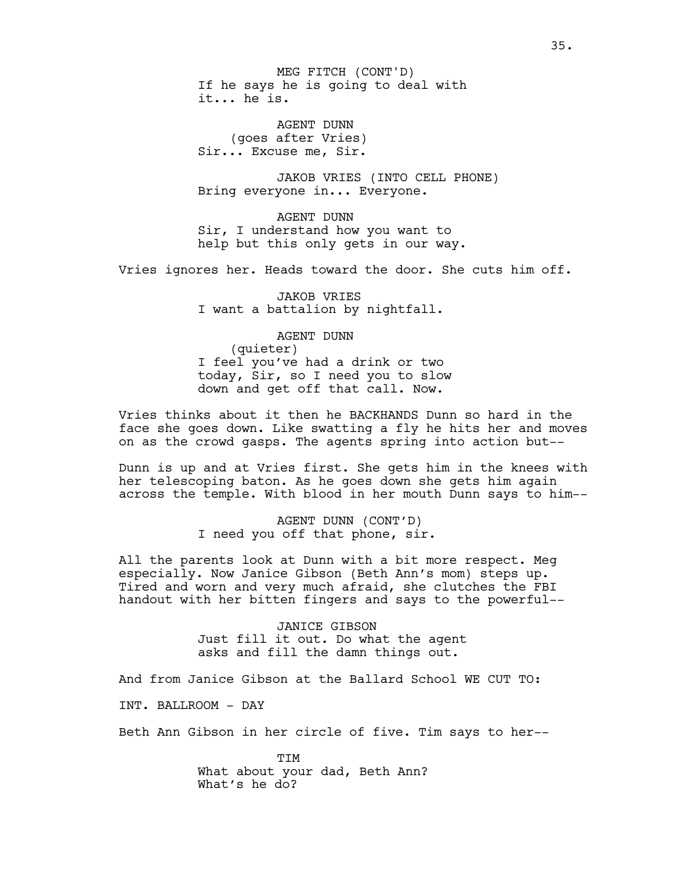If he says he is going to deal with it... he is. MEG FITCH (CONT'D)

AGENT DUNN (goes after Vries) Sir... Excuse me, Sir.

JAKOB VRIES (INTO CELL PHONE) Bring everyone in... Everyone.

AGENT DUNN Sir, I understand how you want to help but this only gets in our way.

Vries ignores her. Heads toward the door. She cuts him off.

JAKOB VRIES I want a battalion by nightfall.

AGENT DUNN (quieter) I feel you've had a drink or two today, Sir, so I need you to slow down and get off that call. Now.

Vries thinks about it then he BACKHANDS Dunn so hard in the face she goes down. Like swatting a fly he hits her and moves on as the crowd gasps. The agents spring into action but--

Dunn is up and at Vries first. She gets him in the knees with her telescoping baton. As he goes down she gets him again across the temple. With blood in her mouth Dunn says to him--

> AGENT DUNN (CONT'D) I need you off that phone, sir.

All the parents look at Dunn with a bit more respect. Meg especially. Now Janice Gibson (Beth Ann's mom) steps up. Tired and worn and very much afraid, she clutches the FBI handout with her bitten fingers and says to the powerful--

> JANICE GIBSON Just fill it out. Do what the agent asks and fill the damn things out.

And from Janice Gibson at the Ballard School WE CUT TO:

INT. BALLROOM - DAY

Beth Ann Gibson in her circle of five. Tim says to her--

TIM What about your dad, Beth Ann? What's he do?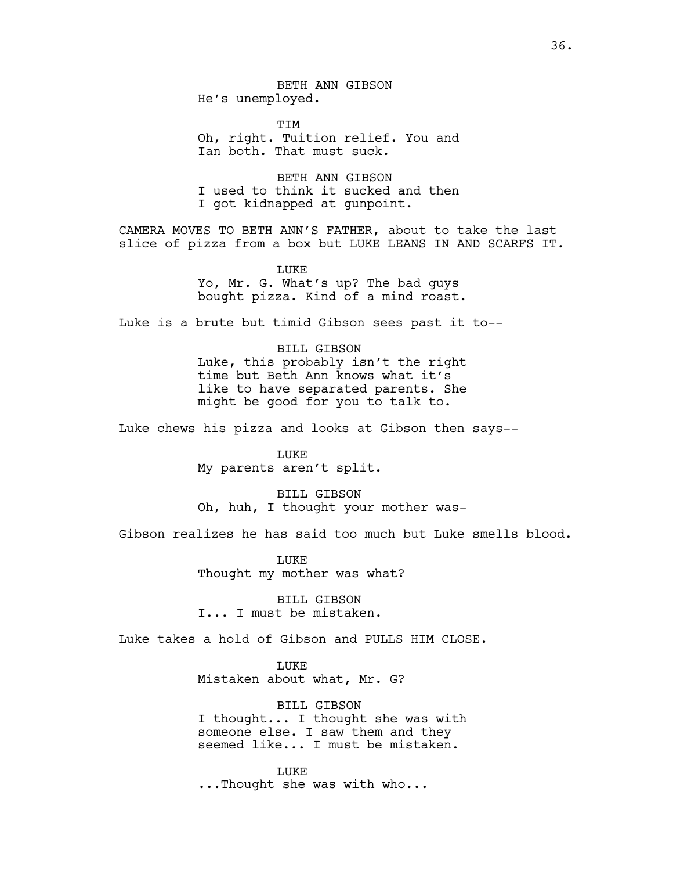BETH ANN GIBSON He's unemployed.

TIM Oh, right. Tuition relief. You and Ian both. That must suck.

BETH ANN GIBSON I used to think it sucked and then I got kidnapped at gunpoint.

CAMERA MOVES TO BETH ANN'S FATHER, about to take the last slice of pizza from a box but LUKE LEANS IN AND SCARFS IT.

> **LUKE** Yo, Mr. G. What's up? The bad guys bought pizza. Kind of a mind roast.

Luke is a brute but timid Gibson sees past it to--

BILL GIBSON Luke, this probably isn't the right time but Beth Ann knows what it's like to have separated parents. She might be good for you to talk to.

Luke chews his pizza and looks at Gibson then says--

LUKE My parents aren't split.

BILL GIBSON Oh, huh, I thought your mother was-

Gibson realizes he has said too much but Luke smells blood.

LUKE Thought my mother was what?

BILL GIBSON I... I must be mistaken.

Luke takes a hold of Gibson and PULLS HIM CLOSE.

LUKE

Mistaken about what, Mr. G?

BILL GIBSON I thought... I thought she was with someone else. I saw them and they seemed like... I must be mistaken.

LUKE ...Thought she was with who...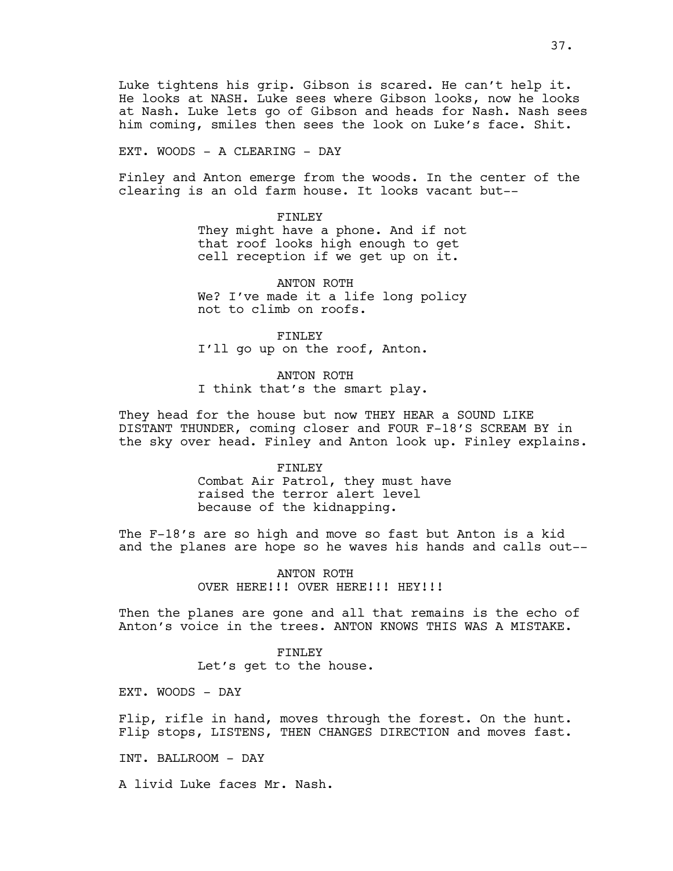EXT. WOODS - A CLEARING - DAY

Finley and Anton emerge from the woods. In the center of the clearing is an old farm house. It looks vacant but--

FINLEY

They might have a phone. And if not that roof looks high enough to get cell reception if we get up on it.

ANTON ROTH We? I've made it a life long policy not to climb on roofs.

FINLEY I'll go up on the roof, Anton.

ANTON ROTH I think that's the smart play.

They head for the house but now THEY HEAR a SOUND LIKE DISTANT THUNDER, coming closer and FOUR F-18'S SCREAM BY in the sky over head. Finley and Anton look up. Finley explains.

FINLEY

Combat Air Patrol, they must have raised the terror alert level because of the kidnapping.

The F-18's are so high and move so fast but Anton is a kid and the planes are hope so he waves his hands and calls out--

> ANTON ROTH OVER HERE!!! OVER HERE!!! HEY!!!

Then the planes are gone and all that remains is the echo of Anton's voice in the trees. ANTON KNOWS THIS WAS A MISTAKE.

> FINLEY Let's get to the house.

EXT. WOODS - DAY

Flip, rifle in hand, moves through the forest. On the hunt. Flip stops, LISTENS, THEN CHANGES DIRECTION and moves fast.

INT. BALLROOM - DAY

A livid Luke faces Mr. Nash.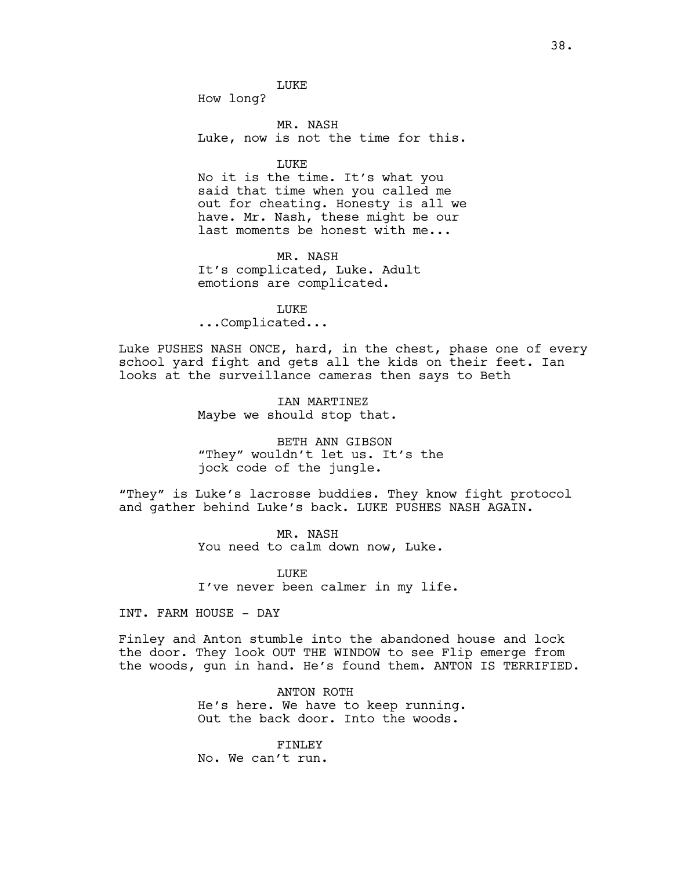How long?

MR. NASH Luke, now is not the time for this.

LUKE

No it is the time. It's what you said that time when you called me out for cheating. Honesty is all we have. Mr. Nash, these might be our last moments be honest with me...

MR. NASH It's complicated, Luke. Adult emotions are complicated.

LUKE ...Complicated...

Luke PUSHES NASH ONCE, hard, in the chest, phase one of every school yard fight and gets all the kids on their feet. Ian looks at the surveillance cameras then says to Beth

> IAN MARTINEZ Maybe we should stop that.

BETH ANN GIBSON "They" wouldn't let us. It's the jock code of the jungle.

"They" is Luke's lacrosse buddies. They know fight protocol and gather behind Luke's back. LUKE PUSHES NASH AGAIN.

> MR. NASH You need to calm down now, Luke.

LUKE I've never been calmer in my life.

INT. FARM HOUSE - DAY

Finley and Anton stumble into the abandoned house and lock the door. They look OUT THE WINDOW to see Flip emerge from the woods, gun in hand. He's found them. ANTON IS TERRIFIED.

> ANTON ROTH He's here. We have to keep running. Out the back door. Into the woods.

FINLEY No. We can't run.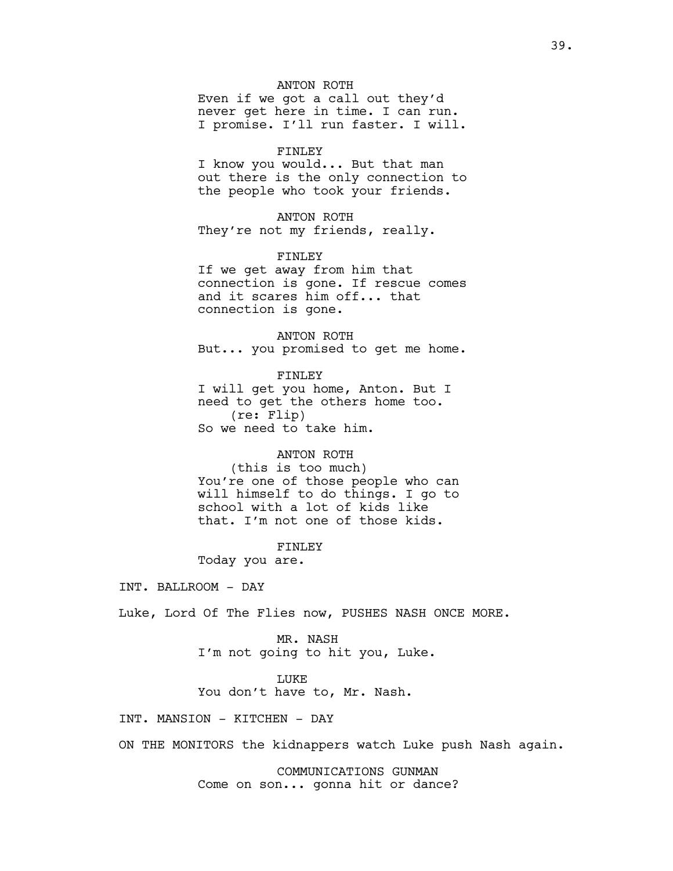# ANTON ROTH

Even if we got a call out they'd never get here in time. I can run. I promise. I'll run faster. I will.

### FINLEY

I know you would... But that man out there is the only connection to the people who took your friends.

# ANTON ROTH

They're not my friends, really.

### FINLEY

If we get away from him that connection is gone. If rescue comes and it scares him off... that connection is gone.

ANTON ROTH But... you promised to get me home.

FINLEY I will get you home, Anton. But I need to get the others home too. (re: Flip) So we need to take him.

### ANTON ROTH

(this is too much) You're one of those people who can will himself to do things. I go to school with a lot of kids like that. I'm not one of those kids.

#### FINLEY

Today you are.

INT. BALLROOM - DAY

Luke, Lord Of The Flies now, PUSHES NASH ONCE MORE.

MR. NASH I'm not going to hit you, Luke.

#### LUKE

You don't have to, Mr. Nash.

INT. MANSION - KITCHEN - DAY

ON THE MONITORS the kidnappers watch Luke push Nash again.

COMMUNICATIONS GUNMAN Come on son... gonna hit or dance?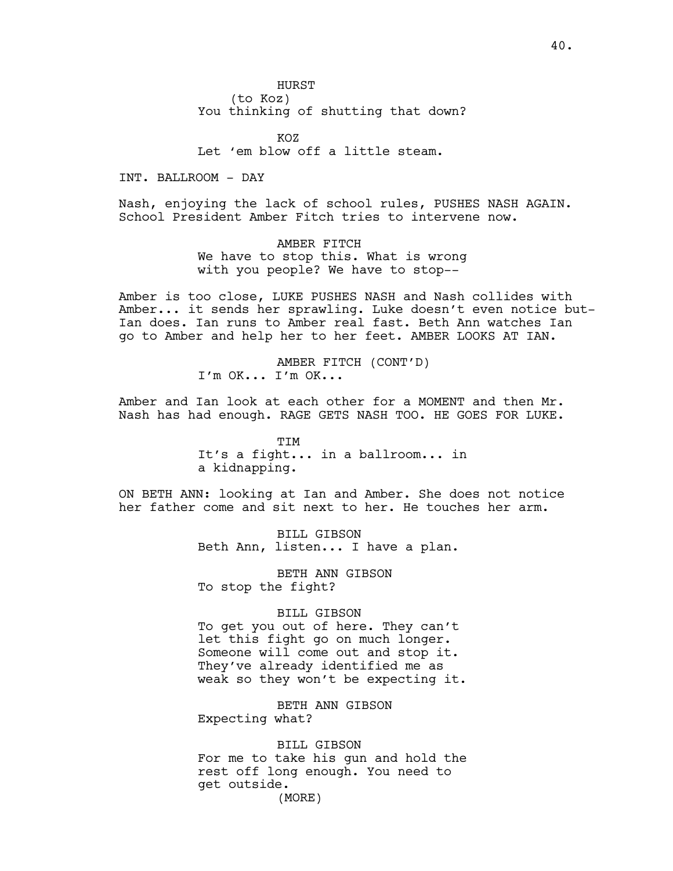HURST (to Koz) You thinking of shutting that down?

 $KOZ$ Let 'em blow off a little steam.

INT. BALLROOM - DAY

Nash, enjoying the lack of school rules, PUSHES NASH AGAIN. School President Amber Fitch tries to intervene now.

> AMBER FITCH We have to stop this. What is wrong with you people? We have to stop--

Amber is too close, LUKE PUSHES NASH and Nash collides with Amber... it sends her sprawling. Luke doesn't even notice but-Ian does. Ian runs to Amber real fast. Beth Ann watches Ian go to Amber and help her to her feet. AMBER LOOKS AT IAN.

> AMBER FITCH (CONT'D) I'm OK... I'm OK...

Amber and Ian look at each other for a MOMENT and then Mr. Nash has had enough. RAGE GETS NASH TOO. HE GOES FOR LUKE.

> TIM It's a fight... in a ballroom... in a kidnapping.

ON BETH ANN: looking at Ian and Amber. She does not notice her father come and sit next to her. He touches her arm.

> BILL GIBSON Beth Ann, listen... I have a plan.

BETH ANN GIBSON To stop the fight?

BILL GIBSON

To get you out of here. They can't let this fight go on much longer. Someone will come out and stop it. They've already identified me as weak so they won't be expecting it.

BETH ANN GIBSON Expecting what?

BILL GIBSON For me to take his gun and hold the rest off long enough. You need to get outside. (MORE)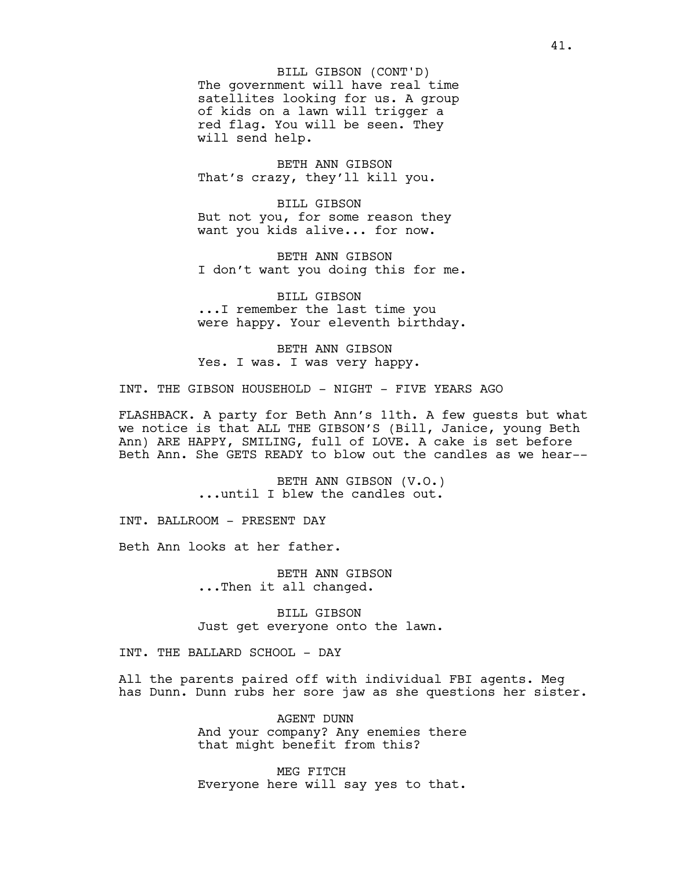The government will have real time satellites looking for us. A group of kids on a lawn will trigger a red flag. You will be seen. They will send help. BILL GIBSON (CONT'D)

BETH ANN GIBSON That's crazy, they'll kill you.

BILL GIBSON But not you, for some reason they want you kids alive... for now.

BETH ANN GIBSON I don't want you doing this for me.

BILL GIBSON ...I remember the last time you were happy. Your eleventh birthday.

BETH ANN GIBSON Yes. I was. I was very happy.

INT. THE GIBSON HOUSEHOLD - NIGHT - FIVE YEARS AGO

FLASHBACK. A party for Beth Ann's 11th. A few guests but what we notice is that ALL THE GIBSON'S (Bill, Janice, young Beth Ann) ARE HAPPY, SMILING, full of LOVE. A cake is set before Beth Ann. She GETS READY to blow out the candles as we hear--

> BETH ANN GIBSON (V.O.) ...until I blew the candles out.

INT. BALLROOM - PRESENT DAY

Beth Ann looks at her father.

BETH ANN GIBSON ...Then it all changed.

BILL GIBSON Just get everyone onto the lawn.

INT. THE BALLARD SCHOOL - DAY

All the parents paired off with individual FBI agents. Meg has Dunn. Dunn rubs her sore jaw as she questions her sister.

> AGENT DUNN And your company? Any enemies there that might benefit from this?

> MEG FITCH Everyone here will say yes to that.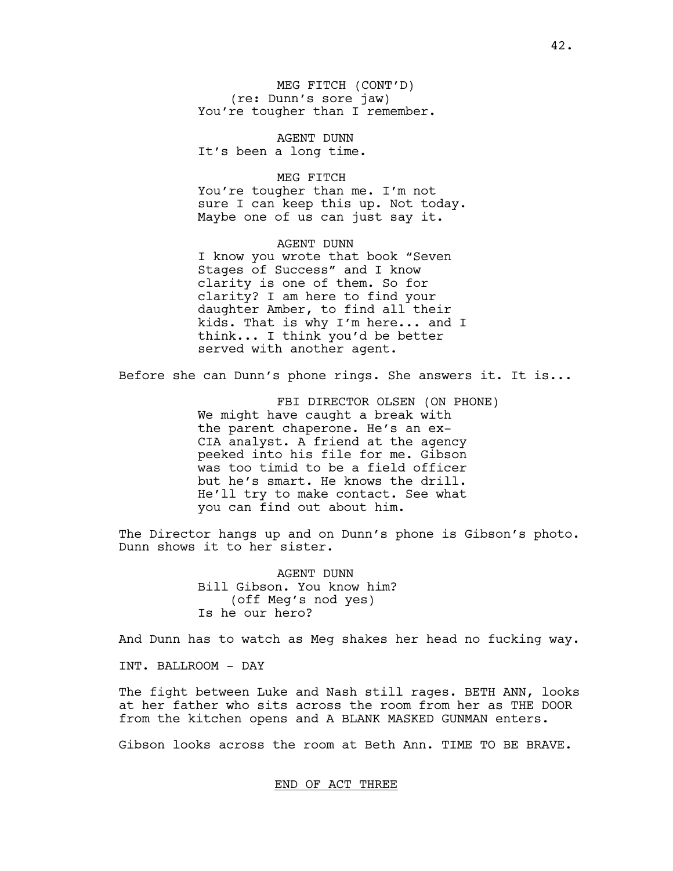MEG FITCH (CONT'D) (re: Dunn's sore jaw) You're tougher than I remember.

AGENT DUNN It's been a long time.

# MEG FITCH

You're tougher than me. I'm not sure I can keep this up. Not today. Maybe one of us can just say it.

AGENT DUNN I know you wrote that book "Seven Stages of Success" and I know clarity is one of them. So for clarity? I am here to find your daughter Amber, to find all their kids. That is why I'm here... and I think... I think you'd be better served with another agent.

Before she can Dunn's phone rings. She answers it. It is...

FBI DIRECTOR OLSEN (ON PHONE) We might have caught a break with the parent chaperone. He's an ex-CIA analyst. A friend at the agency peeked into his file for me. Gibson was too timid to be a field officer but he's smart. He knows the drill. He'll try to make contact. See what you can find out about him.

The Director hangs up and on Dunn's phone is Gibson's photo. Dunn shows it to her sister.

> AGENT DUNN Bill Gibson. You know him? (off Meg's nod yes) Is he our hero?

And Dunn has to watch as Meg shakes her head no fucking way.

INT. BALLROOM - DAY

The fight between Luke and Nash still rages. BETH ANN, looks at her father who sits across the room from her as THE DOOR from the kitchen opens and A BLANK MASKED GUNMAN enters.

Gibson looks across the room at Beth Ann. TIME TO BE BRAVE.

### END OF ACT THREE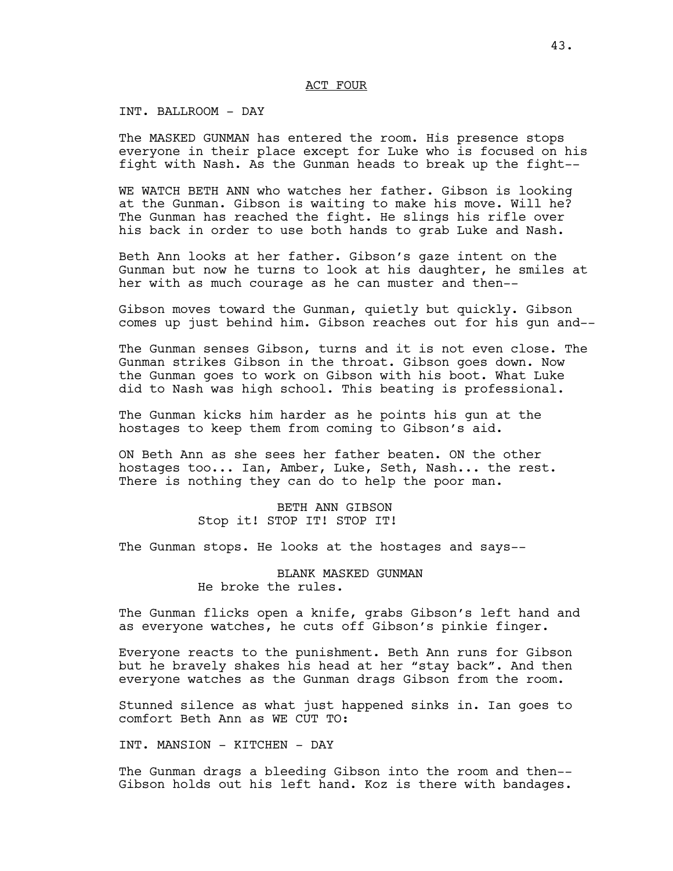### ACT FOUR

# INT. BALLROOM - DAY

The MASKED GUNMAN has entered the room. His presence stops everyone in their place except for Luke who is focused on his fight with Nash. As the Gunman heads to break up the fight--

WE WATCH BETH ANN who watches her father. Gibson is looking at the Gunman. Gibson is waiting to make his move. Will he? The Gunman has reached the fight. He slings his rifle over his back in order to use both hands to grab Luke and Nash.

Beth Ann looks at her father. Gibson's gaze intent on the Gunman but now he turns to look at his daughter, he smiles at her with as much courage as he can muster and then--

Gibson moves toward the Gunman, quietly but quickly. Gibson comes up just behind him. Gibson reaches out for his gun and--

The Gunman senses Gibson, turns and it is not even close. The Gunman strikes Gibson in the throat. Gibson goes down. Now the Gunman goes to work on Gibson with his boot. What Luke did to Nash was high school. This beating is professional.

The Gunman kicks him harder as he points his gun at the hostages to keep them from coming to Gibson's aid.

ON Beth Ann as she sees her father beaten. ON the other hostages too... Ian, Amber, Luke, Seth, Nash... the rest. There is nothing they can do to help the poor man.

> BETH ANN GIBSON Stop it! STOP IT! STOP IT!

The Gunman stops. He looks at the hostages and says--

# BLANK MASKED GUNMAN He broke the rules.

The Gunman flicks open a knife, grabs Gibson's left hand and as everyone watches, he cuts off Gibson's pinkie finger.

Everyone reacts to the punishment. Beth Ann runs for Gibson but he bravely shakes his head at her "stay back". And then everyone watches as the Gunman drags Gibson from the room.

Stunned silence as what just happened sinks in. Ian goes to comfort Beth Ann as WE CUT TO:

INT. MANSION - KITCHEN - DAY

The Gunman drags a bleeding Gibson into the room and then-- Gibson holds out his left hand. Koz is there with bandages.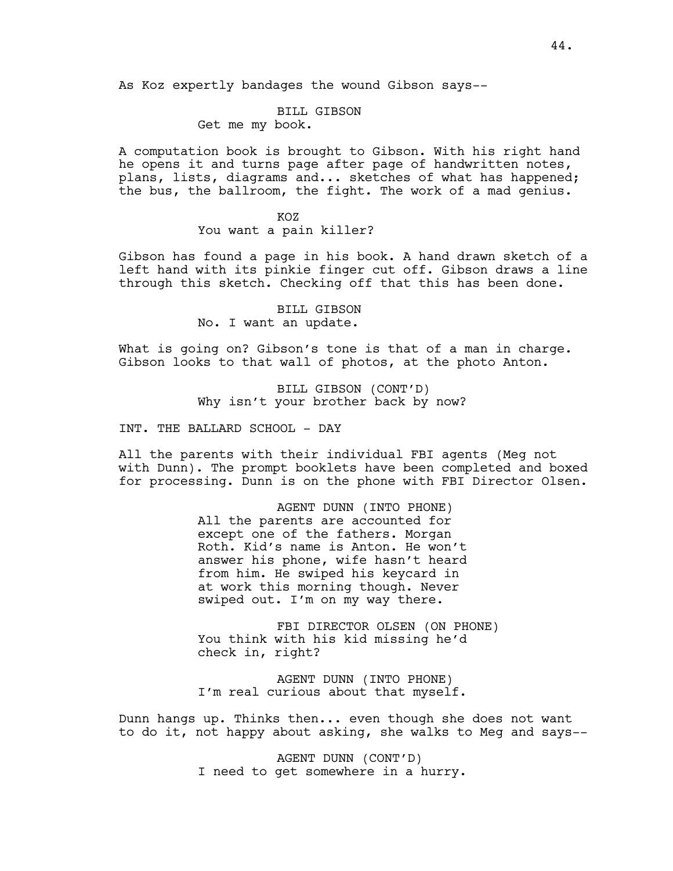As Koz expertly bandages the wound Gibson says--

# BILL GIBSON

Get me my book.

A computation book is brought to Gibson. With his right hand he opens it and turns page after page of handwritten notes, plans, lists, diagrams and... sketches of what has happened; the bus, the ballroom, the fight. The work of a mad genius.

# KOZ

You want a pain killer?

Gibson has found a page in his book. A hand drawn sketch of a left hand with its pinkie finger cut off. Gibson draws a line through this sketch. Checking off that this has been done.

> BILL GIBSON No. I want an update.

What is going on? Gibson's tone is that of a man in charge. Gibson looks to that wall of photos, at the photo Anton.

> BILL GIBSON (CONT'D) Why isn't your brother back by now?

INT. THE BALLARD SCHOOL - DAY

All the parents with their individual FBI agents (Meg not with Dunn). The prompt booklets have been completed and boxed for processing. Dunn is on the phone with FBI Director Olsen.

> AGENT DUNN (INTO PHONE) All the parents are accounted for except one of the fathers. Morgan Roth. Kid's name is Anton. He won't answer his phone, wife hasn't heard from him. He swiped his keycard in at work this morning though. Never swiped out. I'm on my way there.

FBI DIRECTOR OLSEN (ON PHONE) You think with his kid missing he'd check in, right?

AGENT DUNN (INTO PHONE) I'm real curious about that myself.

Dunn hangs up. Thinks then... even though she does not want to do it, not happy about asking, she walks to Meg and says--

> AGENT DUNN (CONT'D) I need to get somewhere in a hurry.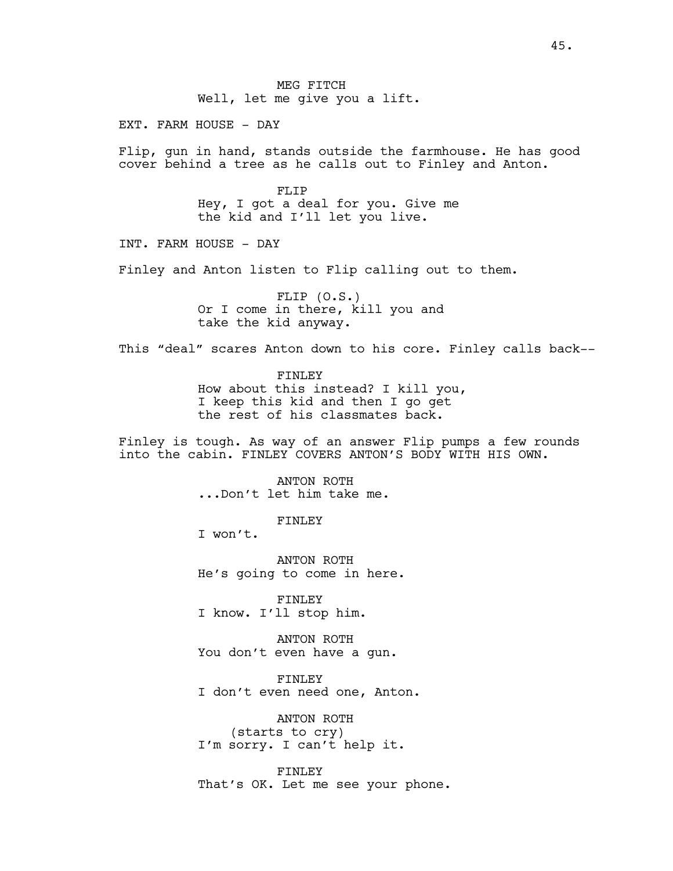EXT. FARM HOUSE - DAY

Flip, gun in hand, stands outside the farmhouse. He has good cover behind a tree as he calls out to Finley and Anton.

> FLIP Hey, I got a deal for you. Give me the kid and I'll let you live.

INT. FARM HOUSE - DAY

Finley and Anton listen to Flip calling out to them.

FLIP (O.S.) Or I come in there, kill you and take the kid anyway.

This "deal" scares Anton down to his core. Finley calls back--

FINLEY How about this instead? I kill you, I keep this kid and then I go get the rest of his classmates back.

Finley is tough. As way of an answer Flip pumps a few rounds into the cabin. FINLEY COVERS ANTON'S BODY WITH HIS OWN.

> ANTON ROTH ...Don't let him take me.

> > FINLEY

I won't.

ANTON ROTH He's going to come in here.

FINLEY I know. I'll stop him.

ANTON ROTH You don't even have a gun.

FINLEY I don't even need one, Anton.

ANTON ROTH (starts to cry) I'm sorry. I can't help it.

FINLEY That's OK. Let me see your phone.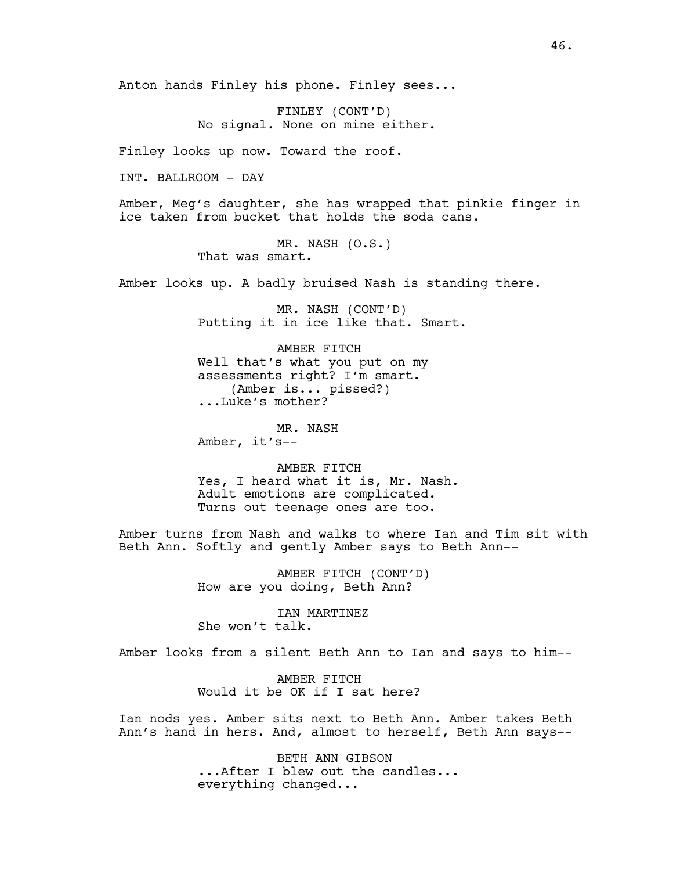Anton hands Finley his phone. Finley sees...

FINLEY (CONT'D) No signal. None on mine either.

Finley looks up now. Toward the roof.

INT. BALLROOM - DAY

Amber, Meg's daughter, she has wrapped that pinkie finger in ice taken from bucket that holds the soda cans.

> MR. NASH (O.S.) That was smart.

Amber looks up. A badly bruised Nash is standing there.

MR. NASH (CONT'D) Putting it in ice like that. Smart.

AMBER FITCH Well that's what you put on my assessments right? I'm smart. (Amber is... pissed?) ...Luke's mother?

MR. NASH Amber, it's--

AMBER FITCH Yes, I heard what it is, Mr. Nash. Adult emotions are complicated. Turns out teenage ones are too.

Amber turns from Nash and walks to where Ian and Tim sit with Beth Ann. Softly and gently Amber says to Beth Ann--

> AMBER FITCH (CONT'D) How are you doing, Beth Ann?

IAN MARTINEZ She won't talk.

Amber looks from a silent Beth Ann to Ian and says to him--

AMBER FITCH Would it be OK if I sat here?

Ian nods yes. Amber sits next to Beth Ann. Amber takes Beth Ann's hand in hers. And, almost to herself, Beth Ann says--

> BETH ANN GIBSON ...After I blew out the candles... everything changed...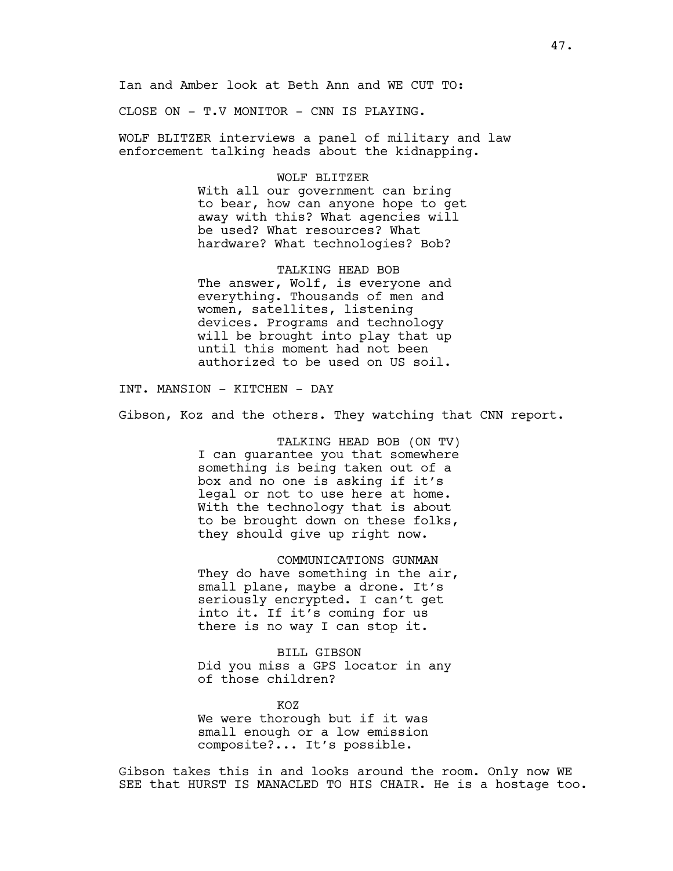Ian and Amber look at Beth Ann and WE CUT TO:

CLOSE ON - T.V MONITOR - CNN IS PLAYING.

WOLF BLITZER interviews a panel of military and law enforcement talking heads about the kidnapping.

#### WOLF BLITZER

With all our government can bring to bear, how can anyone hope to get away with this? What agencies will be used? What resources? What hardware? What technologies? Bob?

TALKING HEAD BOB The answer, Wolf, is everyone and everything. Thousands of men and women, satellites, listening devices. Programs and technology will be brought into play that up until this moment had not been authorized to be used on US soil.

INT. MANSION - KITCHEN - DAY

Gibson, Koz and the others. They watching that CNN report.

TALKING HEAD BOB (ON TV) I can guarantee you that somewhere something is being taken out of a box and no one is asking if it's legal or not to use here at home. With the technology that is about to be brought down on these folks, they should give up right now.

COMMUNICATIONS GUNMAN They do have something in the air, small plane, maybe a drone. It's seriously encrypted. I can't get into it. If it's coming for us there is no way I can stop it.

BILL GIBSON Did you miss a GPS locator in any of those children?

KOZ We were thorough but if it was small enough or a low emission composite?... It's possible.

Gibson takes this in and looks around the room. Only now WE SEE that HURST IS MANACLED TO HIS CHAIR. He is a hostage too.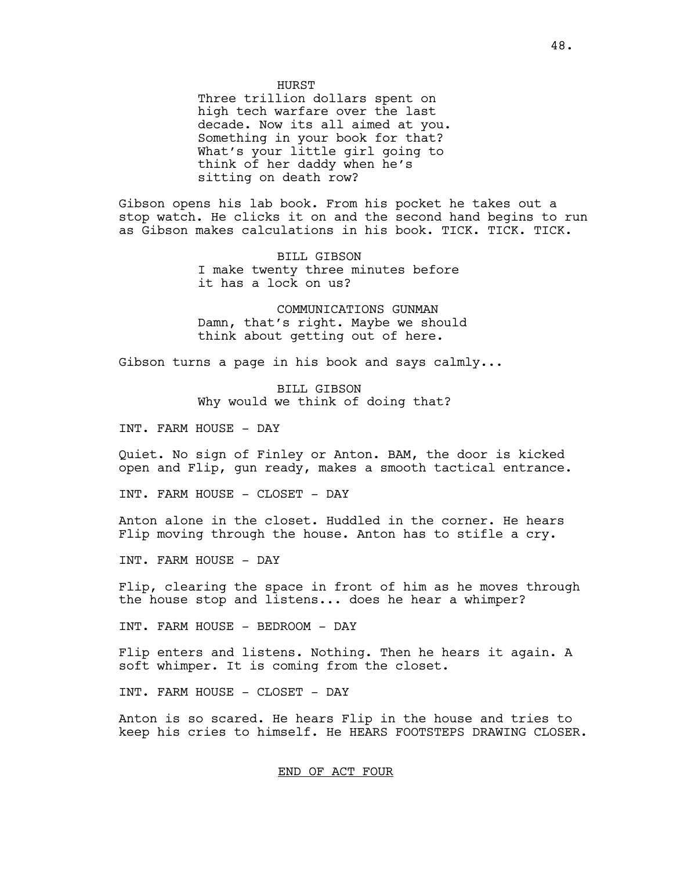Three trillion dollars spent on high tech warfare over the last decade. Now its all aimed at you. Something in your book for that? What's your little girl going to think of her daddy when he's sitting on death row?

Gibson opens his lab book. From his pocket he takes out a stop watch. He clicks it on and the second hand begins to run as Gibson makes calculations in his book. TICK. TICK. TICK.

> BILL GIBSON I make twenty three minutes before it has a lock on us?

COMMUNICATIONS GUNMAN Damn, that's right. Maybe we should think about getting out of here.

Gibson turns a page in his book and says calmly...

BILL GIBSON Why would we think of doing that?

INT. FARM HOUSE - DAY

Quiet. No sign of Finley or Anton. BAM, the door is kicked open and Flip, gun ready, makes a smooth tactical entrance.

INT. FARM HOUSE - CLOSET - DAY

Anton alone in the closet. Huddled in the corner. He hears Flip moving through the house. Anton has to stifle a cry.

INT. FARM HOUSE - DAY

Flip, clearing the space in front of him as he moves through the house stop and listens... does he hear a whimper?

INT. FARM HOUSE - BEDROOM - DAY

Flip enters and listens. Nothing. Then he hears it again. A soft whimper. It is coming from the closet.

INT. FARM HOUSE - CLOSET - DAY

Anton is so scared. He hears Flip in the house and tries to keep his cries to himself. He HEARS FOOTSTEPS DRAWING CLOSER.

END OF ACT FOUR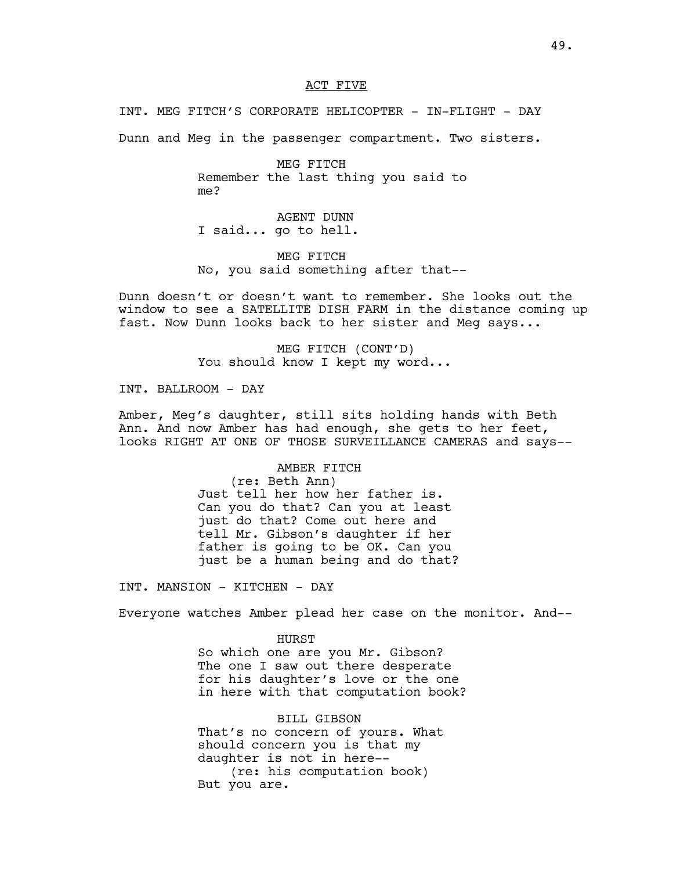### ACT FIVE

INT. MEG FITCH'S CORPORATE HELICOPTER - IN-FLIGHT - DAY

Dunn and Meg in the passenger compartment. Two sisters.

MEG FITCH Remember the last thing you said to me?

AGENT DUNN I said... go to hell.

MEG FITCH No, you said something after that--

Dunn doesn't or doesn't want to remember. She looks out the window to see a SATELLITE DISH FARM in the distance coming up fast. Now Dunn looks back to her sister and Meg says...

> MEG FITCH (CONT'D) You should know I kept my word...

INT. BALLROOM - DAY

Amber, Meg's daughter, still sits holding hands with Beth Ann. And now Amber has had enough, she gets to her feet, looks RIGHT AT ONE OF THOSE SURVEILLANCE CAMERAS and says--

AMBER FITCH

(re: Beth Ann) Just tell her how her father is. Can you do that? Can you at least just do that? Come out here and tell Mr. Gibson's daughter if her father is going to be OK. Can you just be a human being and do that?

INT. MANSION - KITCHEN - DAY

Everyone watches Amber plead her case on the monitor. And--

HURST So which one are you Mr. Gibson? The one I saw out there desperate for his daughter's love or the one in here with that computation book?

BILL GIBSON That's no concern of yours. What should concern you is that my daughter is not in here-- (re: his computation book) But you are.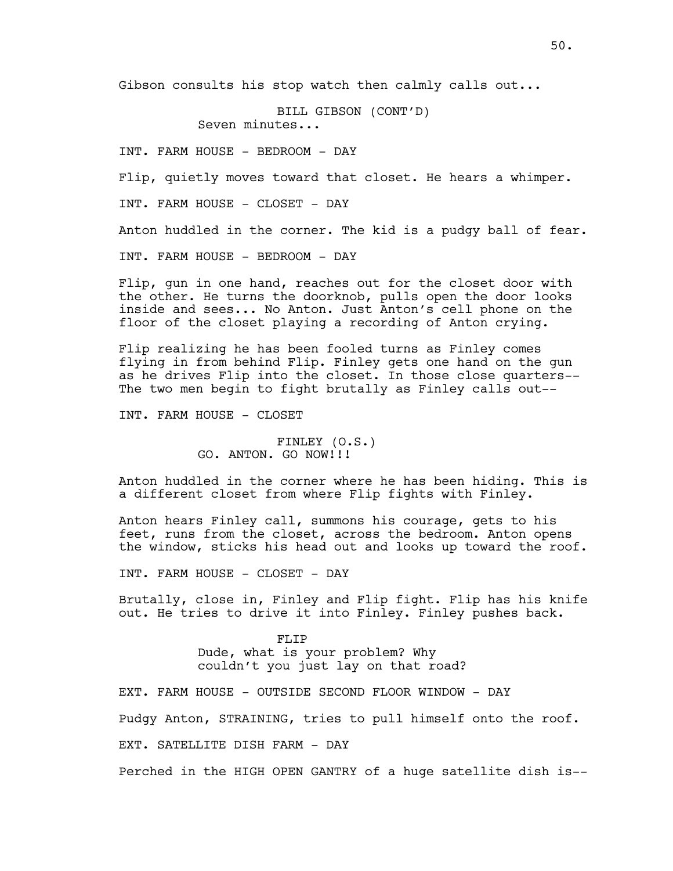Gibson consults his stop watch then calmly calls out...

BILL GIBSON (CONT'D) Seven minutes...

INT. FARM HOUSE - BEDROOM - DAY

Flip, quietly moves toward that closet. He hears a whimper.

INT. FARM HOUSE - CLOSET - DAY

Anton huddled in the corner. The kid is a pudgy ball of fear.

INT. FARM HOUSE - BEDROOM - DAY

Flip, gun in one hand, reaches out for the closet door with the other. He turns the doorknob, pulls open the door looks inside and sees... No Anton. Just Anton's cell phone on the floor of the closet playing a recording of Anton crying.

Flip realizing he has been fooled turns as Finley comes flying in from behind Flip. Finley gets one hand on the gun as he drives Flip into the closet. In those close quarters-- The two men begin to fight brutally as Finley calls out--

INT. FARM HOUSE - CLOSET

FINLEY (O.S.) GO. ANTON. GO NOW!!!

Anton huddled in the corner where he has been hiding. This is a different closet from where Flip fights with Finley.

Anton hears Finley call, summons his courage, gets to his feet, runs from the closet, across the bedroom. Anton opens the window, sticks his head out and looks up toward the roof.

INT. FARM HOUSE - CLOSET - DAY

Brutally, close in, Finley and Flip fight. Flip has his knife out. He tries to drive it into Finley. Finley pushes back.

> FLIP Dude, what is your problem? Why couldn't you just lay on that road?

EXT. FARM HOUSE - OUTSIDE SECOND FLOOR WINDOW - DAY

Pudgy Anton, STRAINING, tries to pull himself onto the roof.

EXT. SATELLITE DISH FARM - DAY

Perched in the HIGH OPEN GANTRY of a huge satellite dish is--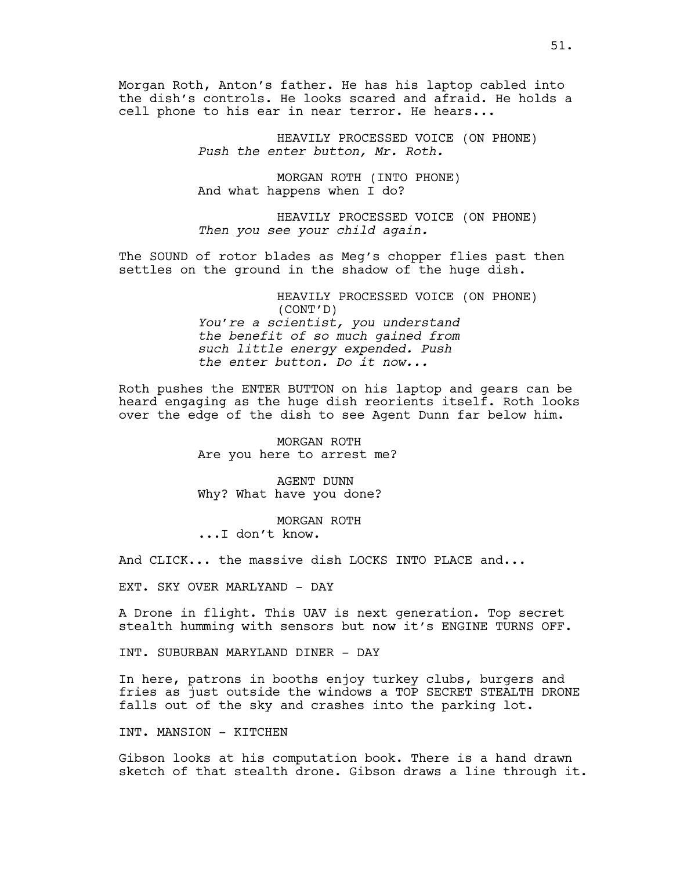Morgan Roth, Anton's father. He has his laptop cabled into the dish's controls. He looks scared and afraid. He holds a cell phone to his ear in near terror. He hears...

> HEAVILY PROCESSED VOICE (ON PHONE) *Push the enter button, Mr. Roth.*

MORGAN ROTH (INTO PHONE) And what happens when I do?

HEAVILY PROCESSED VOICE (ON PHONE) *Then you see your child again.*

The SOUND of rotor blades as Meg's chopper flies past then settles on the ground in the shadow of the huge dish.

> HEAVILY PROCESSED VOICE (ON PHONE) (CONT'D) *You're a scientist, you understand the benefit of so much gained from such little energy expended. Push the enter button. Do it now...*

Roth pushes the ENTER BUTTON on his laptop and gears can be heard engaging as the huge dish reorients itself. Roth looks over the edge of the dish to see Agent Dunn far below him.

> MORGAN ROTH Are you here to arrest me?

AGENT DUNN Why? What have you done?

MORGAN ROTH ...I don't know.

And CLICK... the massive dish LOCKS INTO PLACE and...

EXT. SKY OVER MARLYAND - DAY

A Drone in flight. This UAV is next generation. Top secret stealth humming with sensors but now it's ENGINE TURNS OFF.

INT. SUBURBAN MARYLAND DINER - DAY

In here, patrons in booths enjoy turkey clubs, burgers and fries as just outside the windows a TOP SECRET STEALTH DRONE falls out of the sky and crashes into the parking lot.

INT. MANSION - KITCHEN

Gibson looks at his computation book. There is a hand drawn sketch of that stealth drone. Gibson draws a line through it.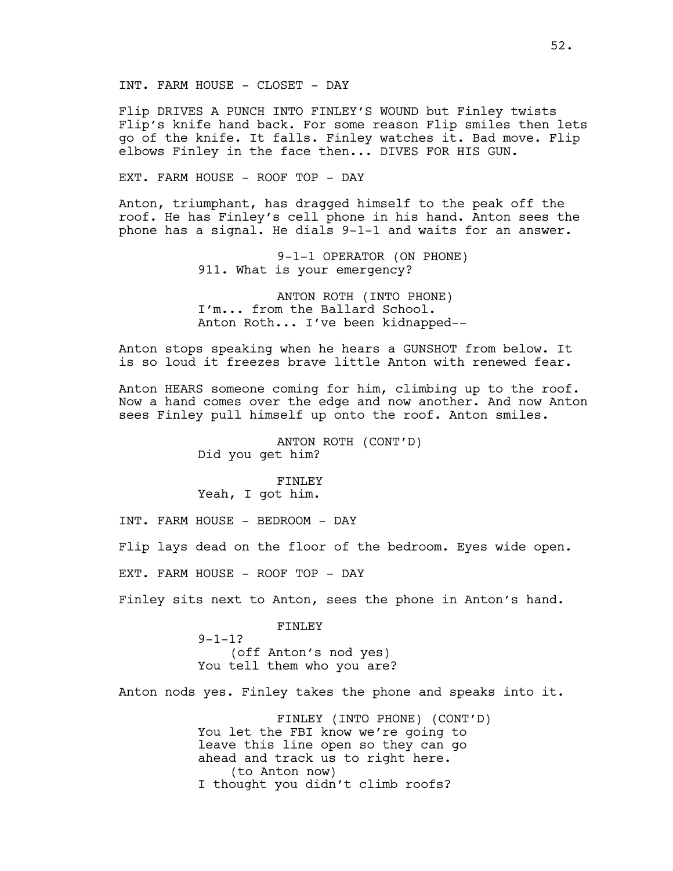INT. FARM HOUSE - CLOSET - DAY

Flip DRIVES A PUNCH INTO FINLEY'S WOUND but Finley twists Flip's knife hand back. For some reason Flip smiles then lets go of the knife. It falls. Finley watches it. Bad move. Flip elbows Finley in the face then... DIVES FOR HIS GUN.

EXT. FARM HOUSE - ROOF TOP - DAY

Anton, triumphant, has dragged himself to the peak off the roof. He has Finley's cell phone in his hand. Anton sees the phone has a signal. He dials 9-1-1 and waits for an answer.

> 9-1-1 OPERATOR (ON PHONE) 911. What is your emergency?

ANTON ROTH (INTO PHONE) I'm... from the Ballard School. Anton Roth... I've been kidnapped--

Anton stops speaking when he hears a GUNSHOT from below. It is so loud it freezes brave little Anton with renewed fear.

Anton HEARS someone coming for him, climbing up to the roof. Now a hand comes over the edge and now another. And now Anton sees Finley pull himself up onto the roof. Anton smiles.

> ANTON ROTH (CONT'D) Did you get him?

FINLEY Yeah, I got him.

INT. FARM HOUSE - BEDROOM - DAY

Flip lays dead on the floor of the bedroom. Eyes wide open.

EXT. FARM HOUSE - ROOF TOP - DAY

Finley sits next to Anton, sees the phone in Anton's hand.

FINLEY

 $9 - 1 - 1$  ? (off Anton's nod yes) You tell them who you are?

Anton nods yes. Finley takes the phone and speaks into it.

FINLEY (INTO PHONE) (CONT'D) You let the FBI know we're going to leave this line open so they can go ahead and track us to right here. (to Anton now) I thought you didn't climb roofs?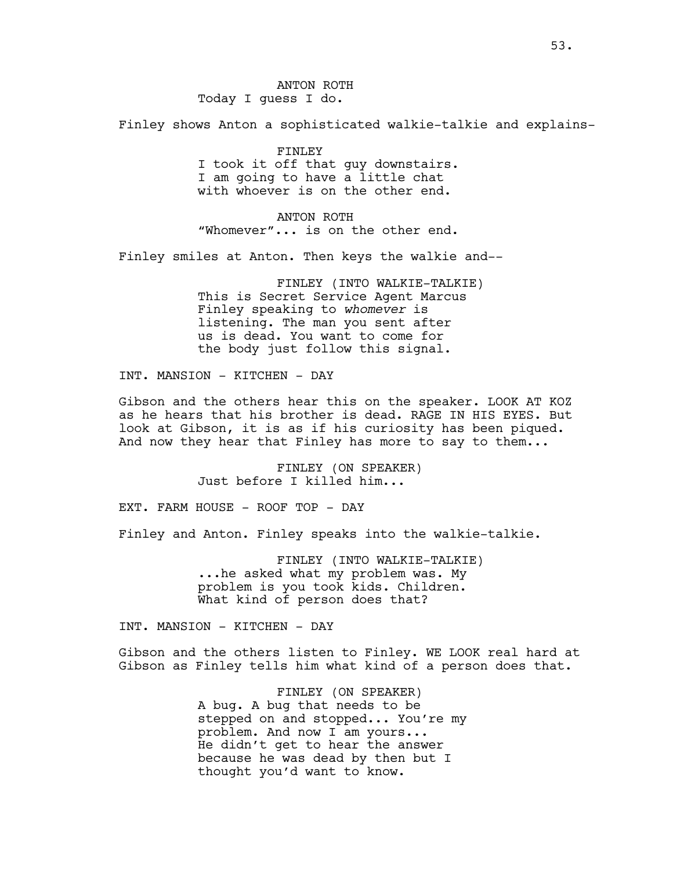Finley shows Anton a sophisticated walkie-talkie and explains-

FINLEY I took it off that guy downstairs. I am going to have a little chat with whoever is on the other end.

ANTON ROTH "Whomever"... is on the other end.

Finley smiles at Anton. Then keys the walkie and--

FINLEY (INTO WALKIE-TALKIE) This is Secret Service Agent Marcus Finley speaking to *whomever* is listening. The man you sent after us is dead. You want to come for the body just follow this signal.

INT. MANSION - KITCHEN - DAY

Gibson and the others hear this on the speaker. LOOK AT KOZ as he hears that his brother is dead. RAGE IN HIS EYES. But look at Gibson, it is as if his curiosity has been piqued. And now they hear that Finley has more to say to them...

> FINLEY (ON SPEAKER) Just before I killed him...

EXT. FARM HOUSE - ROOF TOP - DAY

Finley and Anton. Finley speaks into the walkie-talkie.

FINLEY (INTO WALKIE-TALKIE) ...he asked what my problem was. My problem is you took kids. Children. What kind of person does that?

INT. MANSION - KITCHEN - DAY

Gibson and the others listen to Finley. WE LOOK real hard at Gibson as Finley tells him what kind of a person does that.

> FINLEY (ON SPEAKER) A bug. A bug that needs to be stepped on and stopped... You're my problem. And now I am yours... He didn't get to hear the answer because he was dead by then but I thought you'd want to know.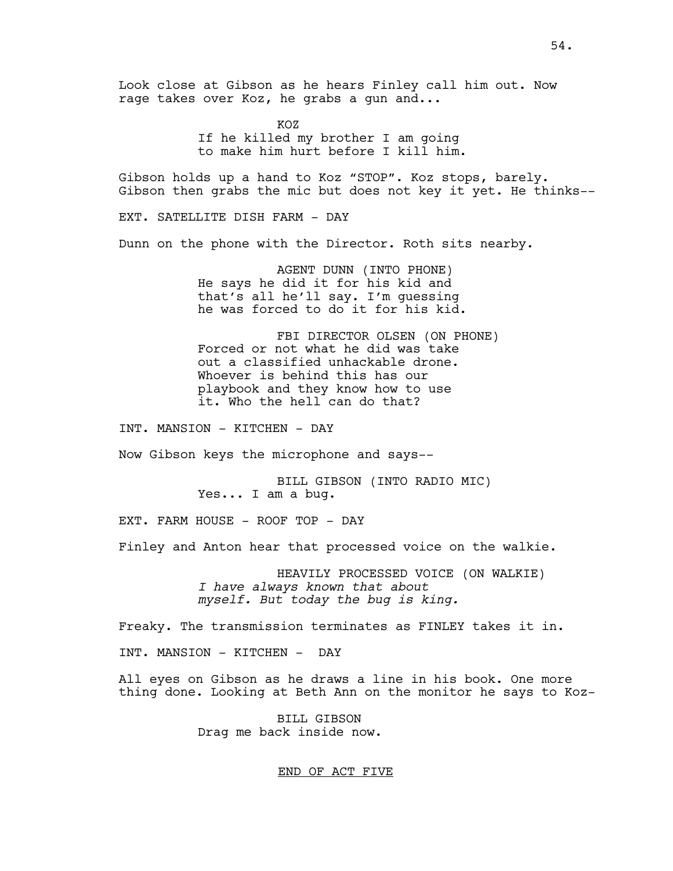Look close at Gibson as he hears Finley call him out. Now rage takes over Koz, he grabs a gun and...

> KOZ If he killed my brother I am going to make him hurt before I kill him.

Gibson holds up a hand to Koz "STOP". Koz stops, barely. Gibson then grabs the mic but does not key it yet. He thinks--

EXT. SATELLITE DISH FARM - DAY

Dunn on the phone with the Director. Roth sits nearby.

AGENT DUNN (INTO PHONE) He says he did it for his kid and that's all he'll say. I'm guessing he was forced to do it for his kid.

FBI DIRECTOR OLSEN (ON PHONE) Forced or not what he did was take out a classified unhackable drone. Whoever is behind this has our playbook and they know how to use it. Who the hell can do that?

INT. MANSION - KITCHEN - DAY

Now Gibson keys the microphone and says--

BILL GIBSON (INTO RADIO MIC) Yes... I am a bug.

EXT. FARM HOUSE - ROOF TOP - DAY

Finley and Anton hear that processed voice on the walkie.

HEAVILY PROCESSED VOICE (ON WALKIE) *I have always known that about myself. But today the bug is king.* 

Freaky. The transmission terminates as FINLEY takes it in.

INT. MANSION - KITCHEN - DAY

All eyes on Gibson as he draws a line in his book. One more thing done. Looking at Beth Ann on the monitor he says to Koz-

> BILL GIBSON Drag me back inside now.

# END OF ACT FIVE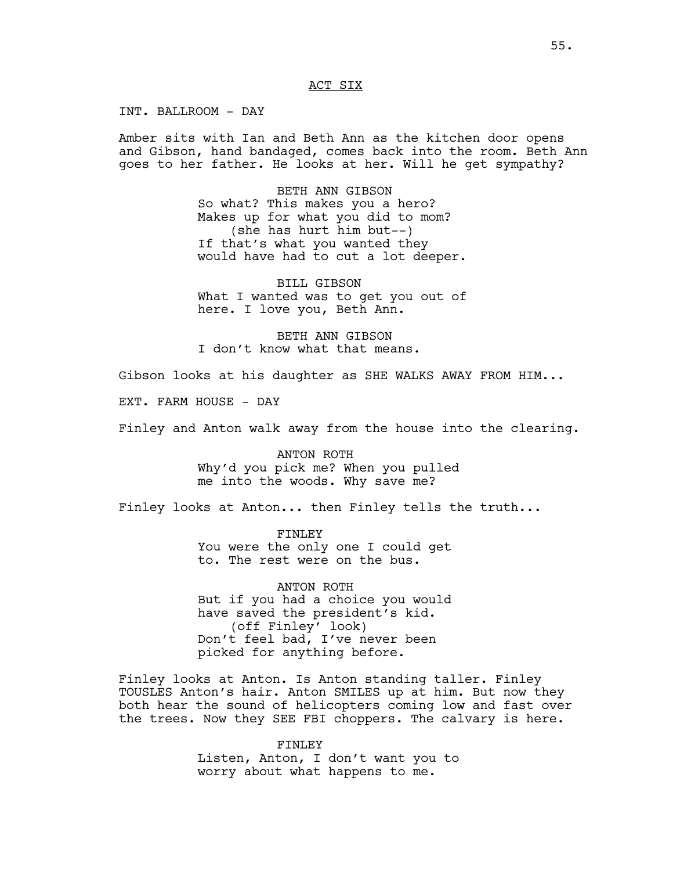### ACT SIX

INT. BALLROOM - DAY

Amber sits with Ian and Beth Ann as the kitchen door opens and Gibson, hand bandaged, comes back into the room. Beth Ann goes to her father. He looks at her. Will he get sympathy?

> BETH ANN GIBSON So what? This makes you a hero? Makes up for what you did to mom? (she has hurt him but--) If that's what you wanted they would have had to cut a lot deeper.

> BILL GIBSON What I wanted was to get you out of here. I love you, Beth Ann.

BETH ANN GIBSON I don't know what that means.

Gibson looks at his daughter as SHE WALKS AWAY FROM HIM...

EXT. FARM HOUSE - DAY

Finley and Anton walk away from the house into the clearing.

ANTON ROTH Why'd you pick me? When you pulled me into the woods. Why save me?

Finley looks at Anton... then Finley tells the truth...

FINLEY You were the only one I could get to. The rest were on the bus.

ANTON ROTH But if you had a choice you would have saved the president's kid. (off Finley' look) Don't feel bad, I've never been picked for anything before.

Finley looks at Anton. Is Anton standing taller. Finley TOUSLES Anton's hair. Anton SMILES up at him. But now they both hear the sound of helicopters coming low and fast over the trees. Now they SEE FBI choppers. The calvary is here.

> FINLEY Listen, Anton, I don't want you to worry about what happens to me.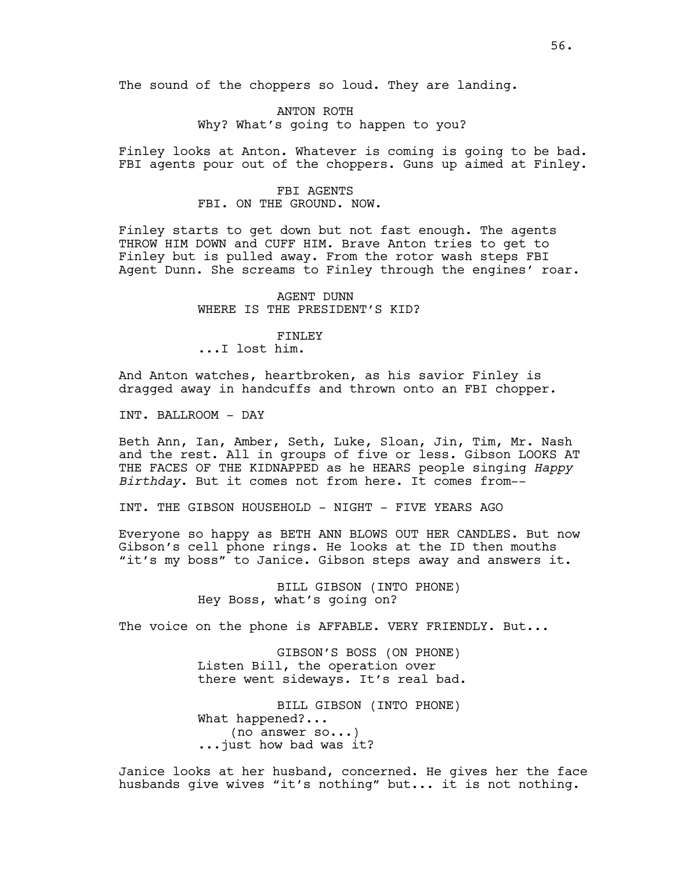The sound of the choppers so loud. They are landing.

ANTON ROTH Why? What's going to happen to you?

Finley looks at Anton. Whatever is coming is going to be bad. FBI agents pour out of the choppers. Guns up aimed at Finley.

### FBI AGENTS FBI. ON THE GROUND. NOW.

Finley starts to get down but not fast enough. The agents THROW HIM DOWN and CUFF HIM. Brave Anton tries to get to Finley but is pulled away. From the rotor wash steps FBI Agent Dunn. She screams to Finley through the engines' roar.

> AGENT DUNN WHERE IS THE PRESIDENT'S KID?

## FINLEY

...I lost him.

And Anton watches, heartbroken, as his savior Finley is dragged away in handcuffs and thrown onto an FBI chopper.

INT. BALLROOM - DAY

Beth Ann, Ian, Amber, Seth, Luke, Sloan, Jin, Tim, Mr. Nash and the rest. All in groups of five or less. Gibson LOOKS AT THE FACES OF THE KIDNAPPED as he HEARS people singing *Happy Birthday*. But it comes not from here. It comes from--

INT. THE GIBSON HOUSEHOLD - NIGHT - FIVE YEARS AGO

Everyone so happy as BETH ANN BLOWS OUT HER CANDLES. But now Gibson's cell phone rings. He looks at the ID then mouths "it's my boss" to Janice. Gibson steps away and answers it.

> BILL GIBSON (INTO PHONE) Hey Boss, what's going on?

The voice on the phone is AFFABLE. VERY FRIENDLY. But...

GIBSON'S BOSS (ON PHONE) Listen Bill, the operation over there went sideways. It's real bad.

BILL GIBSON (INTO PHONE) What happened?... (no answer so...) ...just how bad was it?

Janice looks at her husband, concerned. He gives her the face husbands give wives "it's nothing" but... it is not nothing.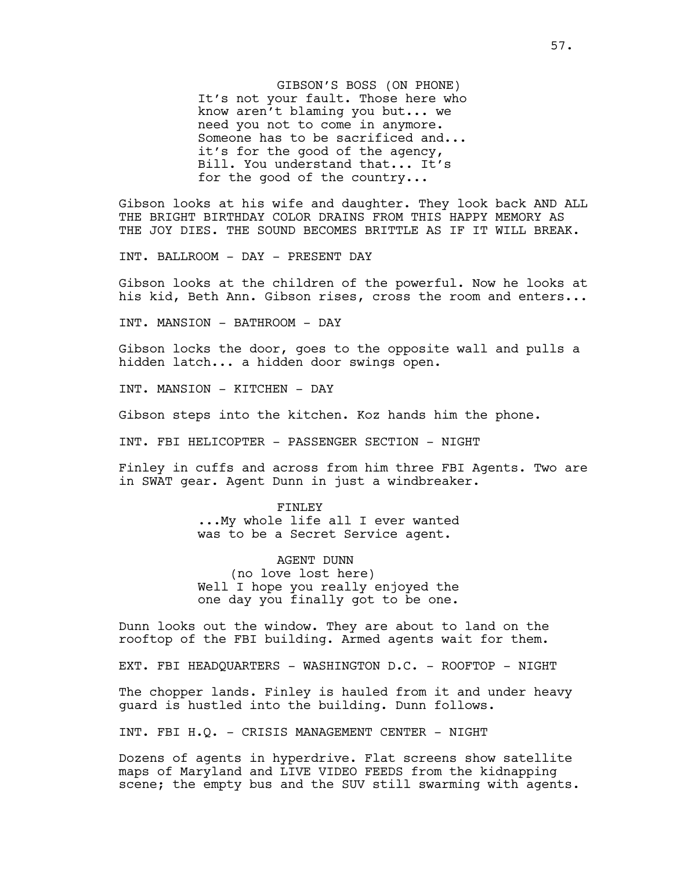GIBSON'S BOSS (ON PHONE) It's not your fault. Those here who know aren't blaming you but... we need you not to come in anymore. Someone has to be sacrificed and... it's for the good of the agency, Bill. You understand that... It's for the good of the country...

Gibson looks at his wife and daughter. They look back AND ALL THE BRIGHT BIRTHDAY COLOR DRAINS FROM THIS HAPPY MEMORY AS THE JOY DIES. THE SOUND BECOMES BRITTLE AS IF IT WILL BREAK.

INT. BALLROOM - DAY - PRESENT DAY

Gibson looks at the children of the powerful. Now he looks at his kid, Beth Ann. Gibson rises, cross the room and enters...

INT. MANSION - BATHROOM - DAY

Gibson locks the door, goes to the opposite wall and pulls a hidden latch... a hidden door swings open.

INT. MANSION - KITCHEN - DAY

Gibson steps into the kitchen. Koz hands him the phone.

INT. FBI HELICOPTER - PASSENGER SECTION - NIGHT

Finley in cuffs and across from him three FBI Agents. Two are in SWAT gear. Agent Dunn in just a windbreaker.

#### FINLEY

...My whole life all I ever wanted was to be a Secret Service agent.

AGENT DUNN (no love lost here) Well I hope you really enjoyed the one day you finally got to be one.

Dunn looks out the window. They are about to land on the rooftop of the FBI building. Armed agents wait for them.

EXT. FBI HEADQUARTERS - WASHINGTON D.C. - ROOFTOP - NIGHT

The chopper lands. Finley is hauled from it and under heavy guard is hustled into the building. Dunn follows.

INT. FBI H.Q. - CRISIS MANAGEMENT CENTER - NIGHT

Dozens of agents in hyperdrive. Flat screens show satellite maps of Maryland and LIVE VIDEO FEEDS from the kidnapping scene; the empty bus and the SUV still swarming with agents.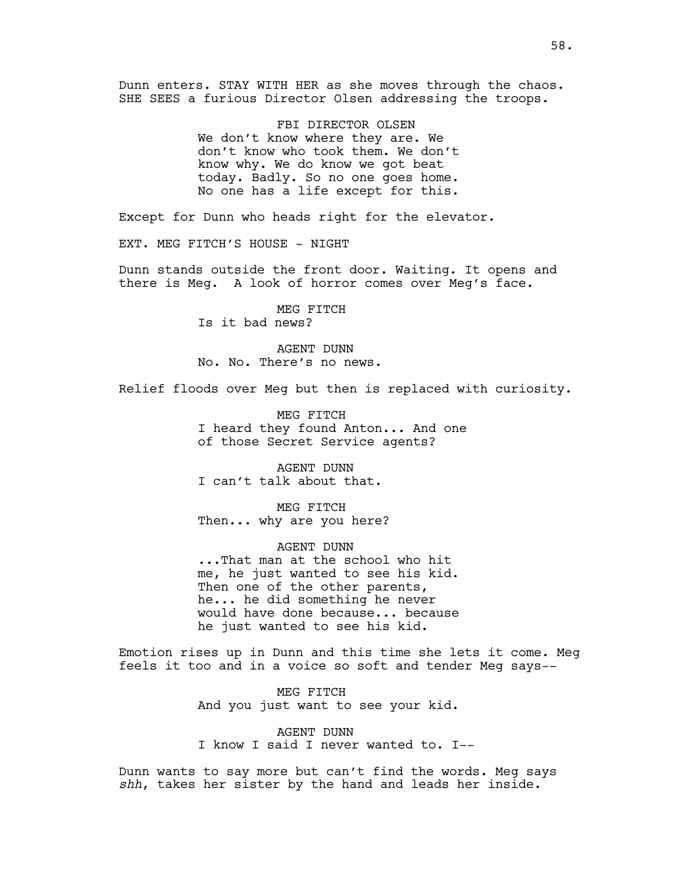Dunn enters. STAY WITH HER as she moves through the chaos. SHE SEES a furious Director Olsen addressing the troops.

> FBI DIRECTOR OLSEN We don't know where they are. We don't know who took them. We don't know why. We do know we got beat today. Badly. So no one goes home. No one has a life except for this.

Except for Dunn who heads right for the elevator.

EXT. MEG FITCH'S HOUSE - NIGHT

Dunn stands outside the front door. Waiting. It opens and there is Meg. A look of horror comes over Meg's face.

> MEG FITCH Is it bad news?

AGENT DUNN No. No. There's no news.

Relief floods over Meg but then is replaced with curiosity.

MEG FITCH I heard they found Anton... And one of those Secret Service agents?

AGENT DUNN I can't talk about that.

MEG FITCH Then... why are you here?

AGENT DUNN ...That man at the school who hit me, he just wanted to see his kid. Then one of the other parents, he... he did something he never would have done because... because he just wanted to see his kid.

Emotion rises up in Dunn and this time she lets it come. Meg feels it too and in a voice so soft and tender Meg says--

> MEG FITCH And you just want to see your kid.

AGENT DUNN I know I said I never wanted to. I--

Dunn wants to say more but can't find the words. Meg says *shh*, takes her sister by the hand and leads her inside.